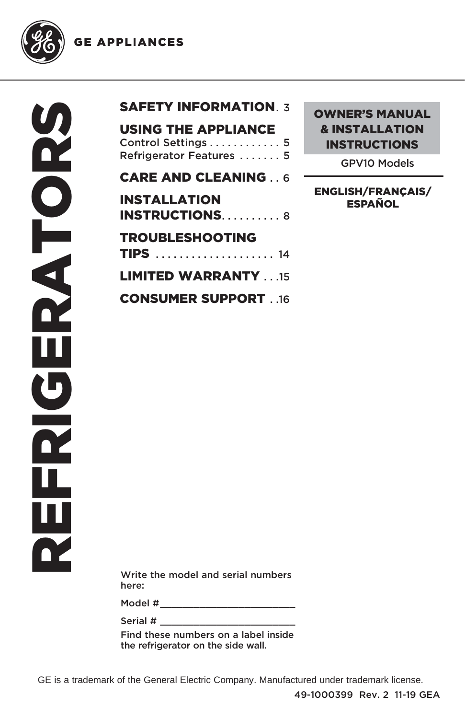**GE APPLIANCES** 



SAFETY INFORMATION **7** 

CARE AND CLEANING ... 6

| <b>INSTALLATION</b>        |  |
|----------------------------|--|
| <b>INSTRUCTIONS8</b>       |  |
| <b>TROUBLESHOOTING</b>     |  |
|                            |  |
| <b>LIMITED WARRANTY 15</b> |  |

CONSUMER SUPPORT . .16

OWNER'S MANUAL & INSTALLATION INSTRUCTIONS

GPV10 Models

ENGLISH/FRANÇAIS/ ESPAÑOL

Write the model and serial numbers here:

Model # \_\_\_\_\_\_\_\_\_\_\_\_\_\_\_\_\_\_\_\_\_\_\_\_

Serial # \_\_\_\_\_\_\_\_\_\_\_\_\_\_\_\_\_\_\_\_\_\_\_\_

Find these numbers on a label inside the refrigerator on the side wall.

GE is a trademark of the General Electric Company. Manufactured under trademark license.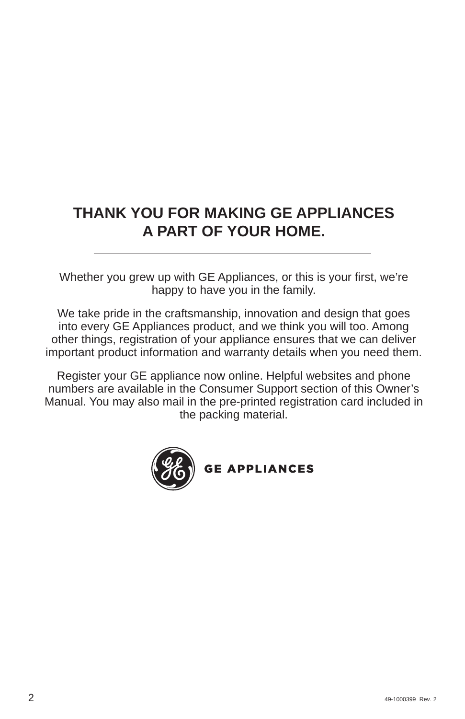# **THANK YOU FOR MAKING GE APPLIANCES A PART OF YOUR HOME.**

Whether you grew up with GE Appliances, or this is your first, we're happy to have you in the family.

We take pride in the craftsmanship, innovation and design that goes into every GE Appliances product, and we think you will too. Among other things, registration of your appliance ensures that we can deliver important product information and warranty details when you need them.

Register your GE appliance now online. Helpful websites and phone numbers are available in the Consumer Support section of this Owner's Manual. You may also mail in the pre-printed registration card included in the packing material.

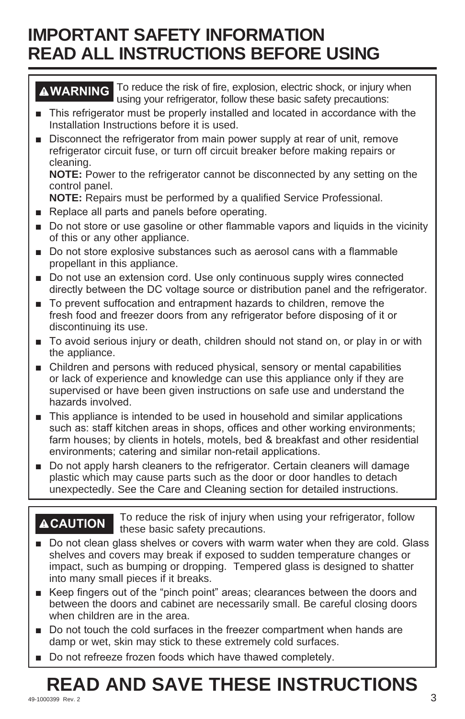# **IMPORTANT SAFETY INFORMATION READ ALL INSTRUCTIONS BEFORE USING**

**WARNING** To reduce the risk of fire, explosion, electric shock, or injury when using your refrigerator, follow these basic safety precautions:

- This refrigerator must be properly installed and located in accordance with the Installation Instructions before it is used.
- **Demo** Disconnect the refrigerator from main power supply at rear of unit, remove refrigerator circuit fuse, or turn off circuit breaker before making repairs or cleaning.

**NOTE:** Power to the refrigerator cannot be disconnected by any setting on the control panel.

**NOTE:** Repairs must be performed by a qualified Service Professional.

- Replace all parts and panels before operating.
- Do not store or use gasoline or other flammable vapors and liquids in the vicinity of this or any other appliance.
- Do not store explosive substances such as aerosol cans with a flammable propellant in this appliance.
- **D** Do not use an extension cord. Use only continuous supply wires connected directly between the DC voltage source or distribution panel and the refrigerator.
- To prevent suffocation and entrapment hazards to children, remove the fresh food and freezer doors from any refrigerator before disposing of it or discontinuing its use.
- To avoid serious injury or death, children should not stand on, or play in or with the appliance.
- Children and persons with reduced physical, sensory or mental capabilities or lack of experience and knowledge can use this appliance only if they are supervised or have been given instructions on safe use and understand the hazards involved.
- This appliance is intended to be used in household and similar applications such as: staff kitchen areas in shops, offices and other working environments; farm houses; by clients in hotels, motels, bed & breakfast and other residential environments; catering and similar non-retail applications.
- Do not apply harsh cleaners to the refrigerator. Certain cleaners will damage plastic which may cause parts such as the door or door handles to detach unexpectedly. See the Care and Cleaning section for detailed instructions.

**ACAUTION** To reduce the risk of injury when using your refrigerator, follow these basic safety precautions.

- Do not clean glass shelves or covers with warm water when they are cold. Glass shelves and covers may break if exposed to sudden temperature changes or impact, such as bumping or dropping. Tempered glass is designed to shatter into many small pieces if it breaks.
- E Keep fingers out of the "pinch point" areas; clearances between the doors and between the doors and cabinet are necessarily small. Be careful closing doors when children are in the area.
- Do not touch the cold surfaces in the freezer compartment when hands are damp or wet, skin may stick to these extremely cold surfaces.
- Do not refreeze frozen foods which have thawed completely.

#### $^{49\text{-}1000399}$  Rev. 2  $^{3}$ **READ AND SAVE THESE INSTRUCTIONS**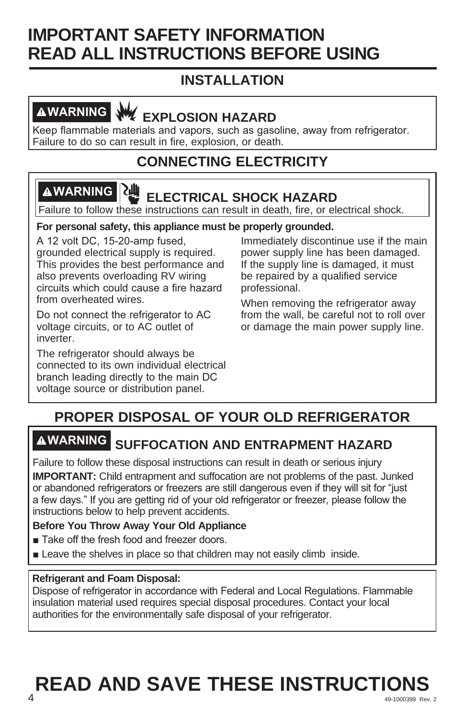# **IMPORTANT SAFETY INFORMATION READ ALL INSTRUCTIONS BEFORE USING**

# **INSTALLATION**

# **AWARNING WE EXPLOSION HAZARD**

Keep flammable materials and vapors, such as gasoline, away from refrigerator. Failure to do so can result in fire, explosion, or death.

# **CONNECTING ELECTRICITY**

# **WARNING ELECTRICAL SHOCK HAZARD**

Failure to follow these instructions can result in death, fire, or electrical shock.

#### **For personal safety, this appliance must be properly grounded.**

A 12 volt DC, 15-20-amp fused, grounded electrical supply is required. This provides the best performance and also prevents overloading RV wiring circuits which could cause a fire hazard from overheated wires.

Do not connect the refrigerator to AC voltage circuits, or to AC outlet of inverter.

The refrigerator should always be connected to its own individual electrical branch leading directly to the main DC voltage source or distribution panel.

Immediately discontinue use if the main power supply line has been damaged. If the supply line is damaged, it must be repaired by a qualified service professional.

When removing the refrigerator away from the wall, be careful not to roll over or damage the main power supply line.

# **PROPER DISPOSAL OF YOUR OLD REFRIGERATOR**

# **WARNING SUFFOCATION AND ENTRAPMENT HAZARD**

Failure to follow these disposal instructions can result in death or serious injury

**IMPORTANT:** Child entrapment and suffocation are not problems of the past. Junked or abandoned refrigerators or freezers are still dangerous even if they will sit for "just a few days." If you are getting rid of your old refrigerator or freezer, please follow the instructions below to help prevent accidents.

#### **Before You Throw Away Your Old Appliance**

- Take off the fresh food and freezer doors.
- $\blacksquare$  Leave the shelves in place so that children may not easily climb inside.

#### **Refrigerant and Foam Disposal:**

Dispose of refrigerator in accordance with Federal and Local Regulations. Flammable insulation material used requires special disposal procedures. Contact your local authorities for the environmentally safe disposal of your refrigerator.

## **49-1000399 Rev. 2**  $\overline{49-1000399}$  Rev. 2 **READ AND SAVE THESE INSTRUCTIONS**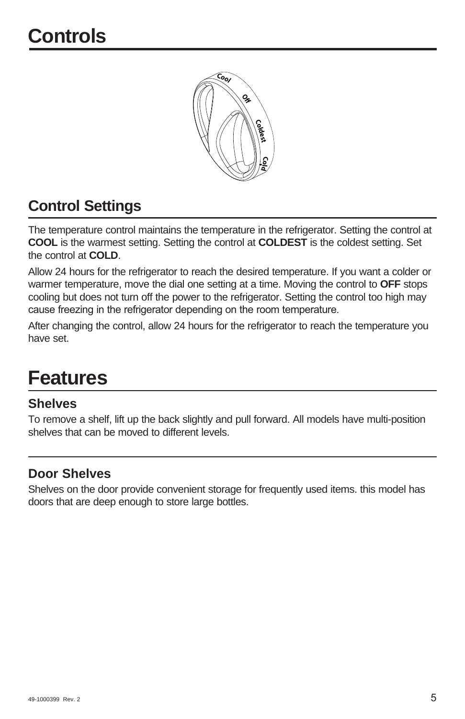

# **Control Settings**

The temperature control maintains the temperature in the refrigerator. Setting the control at **COOL** is the warmest setting. Setting the control at **COLDEST** is the coldest setting. Set the control at **COLD**.

Allow 24 hours for the refrigerator to reach the desired temperature. If you want a colder or warmer temperature, move the dial one setting at a time. Moving the control to **OFF** stops cooling but does not turn off the power to the refrigerator. Setting the control too high may cause freezing in the refrigerator depending on the room temperature.

After changing the control, allow 24 hours for the refrigerator to reach the temperature you have set.

# **Features**

### **Shelves**

To remove a shelf, lift up the back slightly and pull forward. All models have multi-position shelves that can be moved to different levels.

### **Door Shelves**

Shelves on the door provide convenient storage for frequently used items. this model has doors that are deep enough to store large bottles.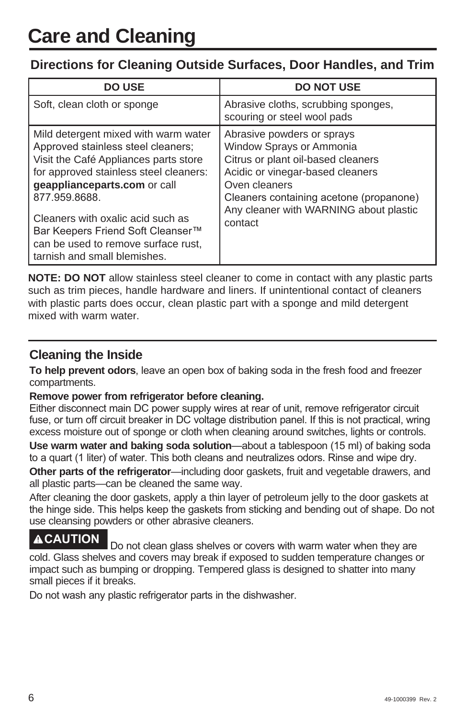### **Directions for Cleaning Outside Surfaces, Door Handles, and Trim**

| <b>DO USE</b>                                                                                                                                                                                                                                                                                                                                                   | <b>DO NOT USE</b>                                                                                                                                                                                                                                 |
|-----------------------------------------------------------------------------------------------------------------------------------------------------------------------------------------------------------------------------------------------------------------------------------------------------------------------------------------------------------------|---------------------------------------------------------------------------------------------------------------------------------------------------------------------------------------------------------------------------------------------------|
| Soft, clean cloth or sponge                                                                                                                                                                                                                                                                                                                                     | Abrasive cloths, scrubbing sponges,<br>scouring or steel wool pads                                                                                                                                                                                |
| Mild detergent mixed with warm water<br>Approved stainless steel cleaners;<br>Visit the Café Appliances parts store<br>for approved stainless steel cleaners:<br>geapplianceparts.com or call<br>877.959.8688.<br>Cleaners with oxalic acid such as<br>Bar Keepers Friend Soft Cleanser™<br>can be used to remove surface rust,<br>tarnish and small blemishes. | Abrasive powders or sprays<br>Window Sprays or Ammonia<br>Citrus or plant oil-based cleaners<br>Acidic or vinegar-based cleaners<br>Oven cleaners<br>Cleaners containing acetone (propanone)<br>Any cleaner with WARNING about plastic<br>contact |

**NOTE: DO NOT** allow stainless steel cleaner to come in contact with any plastic parts such as trim pieces, handle hardware and liners. If unintentional contact of cleaners with plastic parts does occur, clean plastic part with a sponge and mild detergent mixed with warm water.

### **Cleaning the Inside**

**To help prevent odors**, leave an open box of baking soda in the fresh food and freezer compartments.

#### **Remove power from refrigerator before cleaning.**

Either disconnect main DC power supply wires at rear of unit, remove refrigerator circuit fuse, or turn off circuit breaker in DC voltage distribution panel. If this is not practical, wring excess moisture out of sponge or cloth when cleaning around switches, lights or controls.

Use warm water and baking soda solution-about a tablespoon (15 ml) of baking soda to a quart (1 liter) of water. This both cleans and neutralizes odors. Rinse and wipe dry.

**Other parts of the refrigerator**—including door gaskets, fruit and vegetable drawers, and all plastic parts—can be cleaned the same way.

After cleaning the door gaskets, apply a thin layer of petroleum jelly to the door gaskets at the hinge side. This helps keep the gaskets from sticking and bending out of shape. Do not use cleansing powders or other abrasive cleaners.

# **ACAUTION** Do not clean glass shelves or covers with warm water when they are

cold. Glass shelves and covers may break if exposed to sudden temperature changes or impact such as bumping or dropping. Tempered glass is designed to shatter into many small pieces if it breaks.

Do not wash any plastic refrigerator parts in the dishwasher.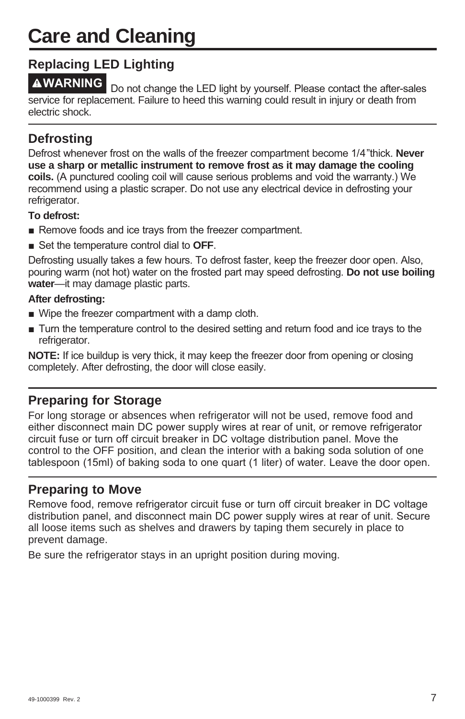# **Care and Cleaning**

## **Replacing LED Lighting**

**AWARNING** Do not change the LED light by yourself. Please contact the after-sales service for replacement. Failure to heed this warning could result in injury or death from electric shock.

## **Defrosting**

Defrost whenever frost on the walls of the freezer compartment become 1/4"thick. **Never use a sharp or metallic instrument to remove frost as it may damage the cooling coils.** (A punctured cooling coil will cause serious problems and void the warranty.) We recommend using a plastic scraper. Do not use any electrical device in defrosting your refrigerator.

#### **To defrost:**

- Remove foods and ice trays from the freezer compartment.
- Set the temperature control dial to OFF.

Defrosting usually takes a few hours. To defrost faster, keep the freezer door open. Also, pouring warm (not hot) water on the frosted part may speed defrosting. Do not use boiling **water**—it may damage plastic parts.

#### **After defrosting:**

- $\blacksquare$  Wipe the freezer compartment with a damp cloth.
- $\blacksquare$  Turn the temperature control to the desired setting and return food and ice trays to the refrigerator.

**NOTE:** If ice buildup is very thick, it may keep the freezer door from opening or closing completely. After defrosting, the door will close easily.

## **Preparing for Storage**

For long storage or absences when refrigerator will not be used, remove food and either disconnect main DC power supply wires at rear of unit, or remove refrigerator circuit fuse or turn off circuit breaker in DC voltage distribution panel. Move the control to the OFF position, and clean the interior with a baking soda solution of one tablespoon (15ml) of baking soda to one quart (1 liter) of water. Leave the door open.

## **Preparing to Move**

Remove food, remove refrigerator circuit fuse or turn off circuit breaker in DC voltage distribution panel, and disconnect main DC power supply wires at rear of unit. Secure all loose items such as shelves and drawers by taping them securely in place to prevent damage.

Be sure the refrigerator stays in an upright position during moving.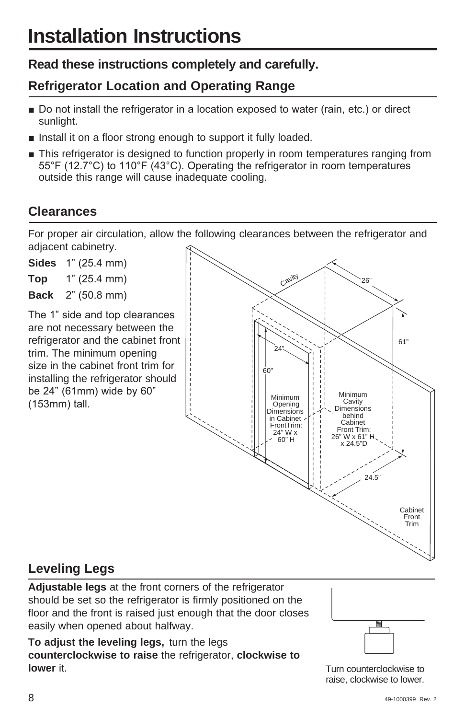# **Read these instructions completely and carefully.**

# **Refrigerator Location and Operating Range**

- Do not install the refrigerator in a location exposed to water (rain, etc.) or direct sunlight.
- Install it on a floor strong enough to support it fully loaded.
- **This refrigerator is designed to function properly in room temperatures ranging from** 55°F (12.7°C) to 110°F (43°C). Operating the refrigerator in room temperatures outside this range will cause inadequate cooling.

# **Clearances**

For proper air circulation, allow the following clearances between the refrigerator and adjacent cabinetry.

**Sides** 1" (25.4 mm) **Top**  $1^{\circ}$  (25.4 mm) **Back** 2" (50.8 mm)

The 1" side and top clearances are not necessary between the refrigerator and the cabinet front trim. The minimum opening size in the cabinet front trim for installing the refrigerator should be  $24$ " (61mm) wide by 60"  $(153mm)$  tall.



# **Leveling Legs**

**Adjustable legs** at the front corners of the refrigerator should be set so the refrigerator is firmly positioned on the floor and the front is raised just enough that the door closes easily when opened about halfway.

**To adjust the leveling legs,** turn the legs **counterclockwise to raise** the refrigerator, **clockwise to lower** it.



Turn counterclockwise to raise, clockwise to lower.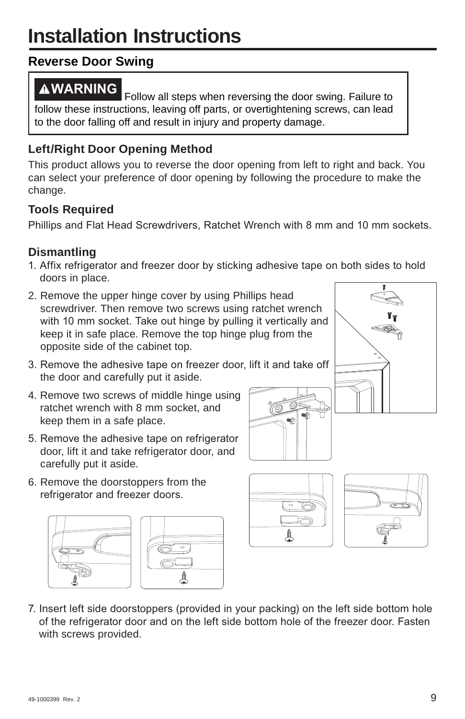# **Installation Instructions**

# **Reverse Door Swing**

**AWARNING** Follow all steps when reversing the door swing. Failure to follow these instructions, leaving off parts, or overtightening screws, can lead to the door falling off and result in injury and property damage.

## **Left/Right Door Opening Method**

This product allows you to reverse the door opening from left to right and back. You can select your preference of door opening by following the procedure to make the change.

## **Tools Required**

Phillips and Flat Head Screwdrivers, Ratchet Wrench with 8 mm and 10 mm sockets.

## **Dismantling**

- 1. Affix refrigerator and freezer door by sticking adhesive tape on both sides to hold doors in place.
- 2. Remove the upper hinge cover by using Phillips head screwdriver. Then remove two screws using ratchet wrench with 10 mm socket. Take out hinge by pulling it vertically and keep it in safe place. Remove the top hinge plug from the opposite side of the cabinet top.
- 3. Remove the adhesive tape on freezer door, lift it and take off the door and carefully put it aside.
- 4. Remove two screws of middle hinge using ratchet wrench with 8 mm socket, and keep them in a safe place.
- 5. Remove the adhesive tape on refrigerator door, lift it and take refrigerator door, and carefully put it aside.
- 6. Remove the doorstoppers from the refrigerator and freezer doors.













7. Insert left side doorstoppers (provided in your packing) on the left side bottom hole of the refrigerator door and on the left side bottom hole of the freezer door. Fasten with screws provided.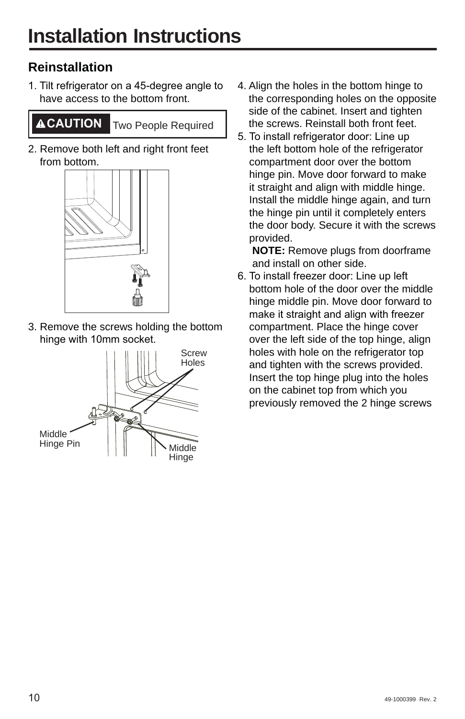# **Reinstallation**

1. Tilt refrigerator on a 45-degree angle to have access to the bottom front.

**CAUTION** Two People Required

2. Remove both left and right front feet from bottom.



3. Remove the screws holding the bottom hinge with 10mm socket.



- 4. Align the holes in the bottom hinge to the corresponding holes on the opposite side of the cabinet. Insert and tighten the screws. Reinstall both front feet.
- 5. To install refrigerator door: Line up the left bottom hole of the refrigerator compartment door over the bottom hinge pin. Move door forward to make it straight and align with middle hinge. Install the middle hinge again, and turn the hinge pin until it completely enters the door body. Secure it with the screws provided.

 **NOTE:** Remove plugs from doorframe and install on other side.

6. To install freezer door: Line up left bottom hole of the door over the middle hinge middle pin. Move door forward to make it straight and align with freezer compartment. Place the hinge cover over the left side of the top hinge, align holes with hole on the refrigerator top and tighten with the screws provided. Insert the top hinge plug into the holes on the cabinet top from which you previously removed the 2 hinge screws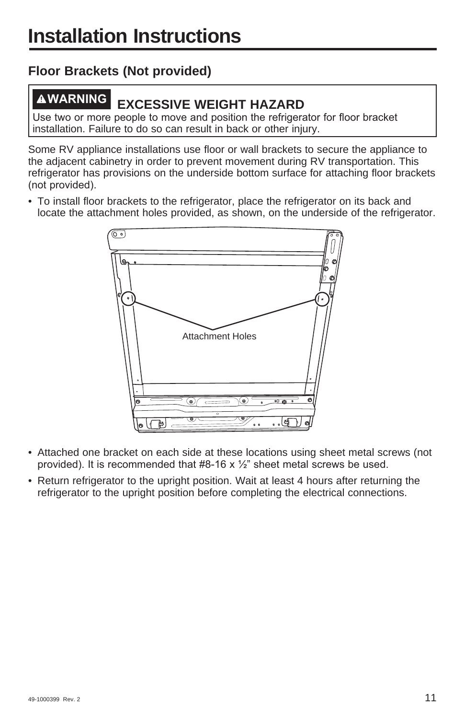# **Floor Brackets (Not provided)**

# **WARNING EXCESSIVE WEIGHT HAZARD**

Use two or more people to move and position the refrigerator for floor bracket installation. Failure to do so can result in back or other injury.

Some RV appliance installations use floor or wall brackets to secure the appliance to the adjacent cabinetry in order to prevent movement during RV transportation. This refrigerator has provisions on the underside bottom surface for attaching floor brackets (not provided).

• To install floor brackets to the refrigerator, place the refrigerator on its back and locate the attachment holes provided, as shown, on the underside of the refrigerator.



- Attached one bracket on each side at these locations using sheet metal screws (not provided). It is recommended that  $#8-16 \times \frac{1}{2}$  sheet metal screws be used.
- Return refrigerator to the upright position. Wait at least 4 hours after returning the refrigerator to the upright position before completing the electrical connections.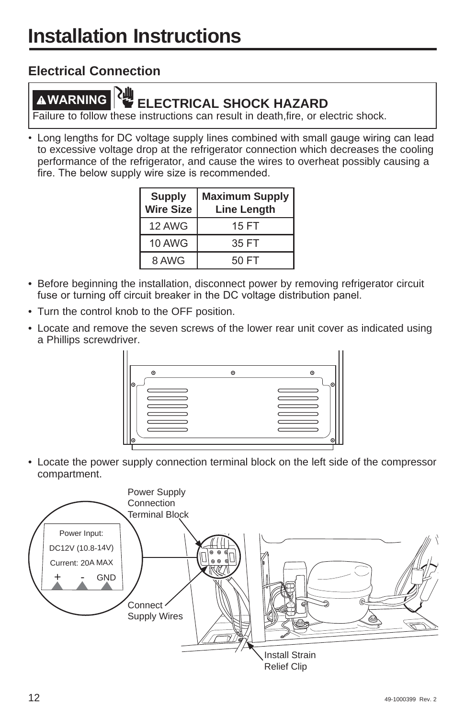## **Electrical Connection**

# **WARNING ELECTRICAL SHOCK HAZARD**

Failure to follow these instructions can result in death,fire, or electric shock.

• Long lengths for DC voltage supply lines combined with small gauge wiring can lead to excessive voltage drop at the refrigerator connection which decreases the cooling performance of the refrigerator, and cause the wires to overheat possibly causing a fire. The below supply wire size is recommended.

| <b>Supply</b><br><b>Wire Size</b> | <b>Maximum Supply</b><br><b>Line Length</b> |
|-----------------------------------|---------------------------------------------|
| 12 AWG                            | 15 FT                                       |
| <b>10 AWG</b>                     | 35 FT                                       |
| 8 AWG                             | 50 FT                                       |

- Before beginning the installation, disconnect power by removing refrigerator circuit fuse or turning off circuit breaker in the DC voltage distribution panel.
- Turn the control knob to the OFF position.
- Locate and remove the seven screws of the lower rear unit cover as indicated using a Phillips screwdriver.



• Locate the power supply connection terminal block on the left side of the compressor compartment.

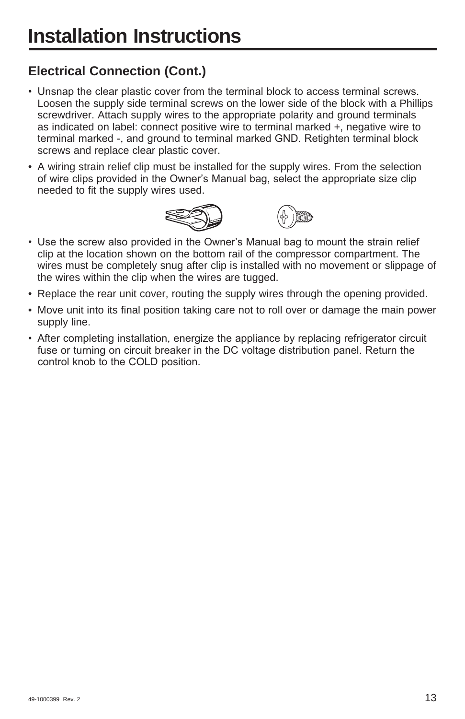# **Electrical Connection (Cont.)**

- Unsnap the clear plastic cover from the terminal block to access terminal screws. Loosen the supply side terminal screws on the lower side of the block with a Phillips screwdriver. Attach supply wires to the appropriate polarity and ground terminals as indicated on label: connect positive wire to terminal marked +, negative wire to terminal marked -, and ground to terminal marked GND. Retighten terminal block screws and replace clear plastic cover.
- A wiring strain relief clip must be installed for the supply wires. From the selection of wire clips provided in the Owner's Manual bag, select the appropriate size clip needed to fit the supply wires used.





- Use the screw also provided in the Owner's Manual bag to mount the strain relief clip at the location shown on the bottom rail of the compressor compartment. The wires must be completely snug after clip is installed with no movement or slippage of the wires within the clip when the wires are tugged.
- Replace the rear unit cover, routing the supply wires through the opening provided.
- Move unit into its final position taking care not to roll over or damage the main power supply line.
- After completing installation, energize the appliance by replacing refrigerator circuit fuse or turning on circuit breaker in the DC voltage distribution panel. Return the control knob to the COLD position.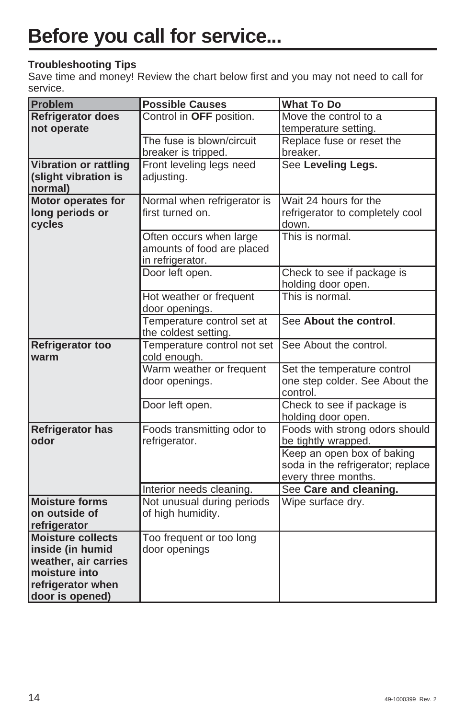#### **Troubleshooting Tips**

Save time and money! Review the chart below first and you may not need to call for service.

| <b>Problem</b>                  | <b>Possible Causes</b>      | <b>What To Do</b>                                    |
|---------------------------------|-----------------------------|------------------------------------------------------|
| <b>Refrigerator does</b>        | Control in OFF position.    | Move the control to a                                |
| not operate                     |                             | temperature setting.                                 |
|                                 | The fuse is blown/circuit   | Replace fuse or reset the                            |
|                                 | breaker is tripped.         | breaker.                                             |
| <b>Vibration or rattling</b>    | Front leveling legs need    | See Leveling Legs.                                   |
| (slight vibration is            | adjusting.                  |                                                      |
| normal)                         |                             |                                                      |
| <b>Motor operates for</b>       | Normal when refrigerator is | Wait 24 hours for the                                |
| long periods or<br>cycles       | first turned on.            | refrigerator to completely cool<br>down.             |
|                                 | Often occurs when large     | This is normal.                                      |
|                                 | amounts of food are placed  |                                                      |
|                                 | in refrigerator.            |                                                      |
|                                 | Door left open.             | Check to see if package is                           |
|                                 |                             | holding door open.                                   |
|                                 | Hot weather or frequent     | This is normal.                                      |
|                                 | door openings.              |                                                      |
|                                 | Temperature control set at  | See About the control.                               |
|                                 | the coldest setting.        |                                                      |
| <b>Refrigerator too</b>         | Temperature control not set | See About the control.                               |
| warm                            | cold enough.                |                                                      |
|                                 | Warm weather or frequent    | Set the temperature control                          |
|                                 | door openings.              | one step colder. See About the                       |
|                                 |                             | control.                                             |
|                                 | Door left open.             | Check to see if package is                           |
|                                 | Foods transmitting odor to  | holding door open.<br>Foods with strong odors should |
| <b>Refrigerator has</b><br>odor | refrigerator.               | be tightly wrapped.                                  |
|                                 |                             | Keep an open box of baking                           |
|                                 |                             | soda in the refrigerator; replace                    |
|                                 |                             | every three months.                                  |
|                                 | Interior needs cleaning.    | See Care and cleaning.                               |
| <b>Moisture forms</b>           | Not unusual during periods  | Wipe surface dry.                                    |
| on outside of                   | of high humidity.           |                                                      |
| refrigerator                    |                             |                                                      |
| <b>Moisture collects</b>        | Too frequent or too long    |                                                      |
| inside (in humid                | door openings               |                                                      |
| weather, air carries            |                             |                                                      |
| moisture into                   |                             |                                                      |
| refrigerator when               |                             |                                                      |
| door is opened)                 |                             |                                                      |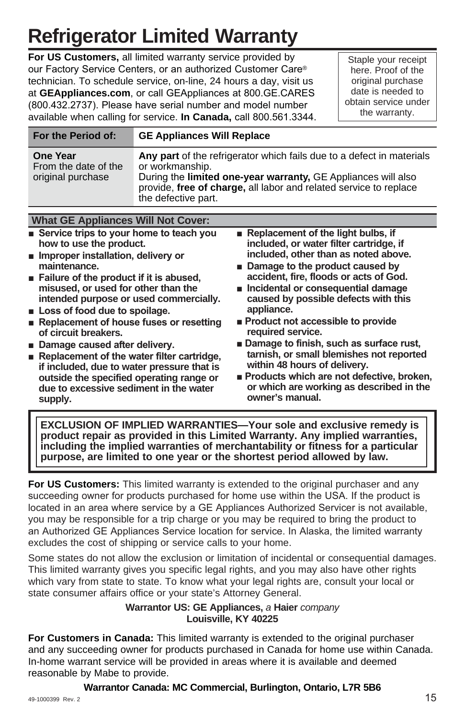# **Refrigerator Limited Warranty**

**For US Customers,** all limited warranty service provided by our Factory Service Centers, or an authorized Customer Care® technician. To schedule service, on-line, 24 hours a day, visit us at GEAppliances.com, or call GEAppliances at 800.GE.CARES (800.432.2737). Please have serial number and model number available when calling for service. In Canada, call 800.561.3344.

Staple your receipt here. Proof of the original purchase date is needed to obtain service under the warranty.

| For the Period of:                                           | <b>GE Appliances Will Replace</b>                                                                                                                                                                                                                     |  |  |
|--------------------------------------------------------------|-------------------------------------------------------------------------------------------------------------------------------------------------------------------------------------------------------------------------------------------------------|--|--|
| <b>One Year</b><br>From the date of the<br>original purchase | Any part of the refrigerator which fails due to a defect in materials<br>or workmanship.<br>During the limited one-year warranty, GE Appliances will also<br>provide, free of charge, all labor and related service to replace<br>the defective part. |  |  |
|                                                              |                                                                                                                                                                                                                                                       |  |  |
| What CE Annliances Will Not Cover                            |                                                                                                                                                                                                                                                       |  |  |

**WHAT GE Appliances W Example 8 Buller** Service trips to your home to teach you **how to use the product.**  $\blacksquare$  Improper installation, delivery or **maintenance. Example 3 Is alleger** of the product if it is abused. **misused, or used for other than the intended purpose or used commercially. E** Loss of food due to spoilage. **Replacement of house fuses or resetting of circuit breakers. • Damage caused after delivery. Replacement of the water filter cartridge. Replacement of the light bulbs, if included, or water filter cartridge, if included, other than as noted above.**  $\blacksquare$  Damage to the product caused by **accident, fire, floods or acts of God. n** Incidental or consequential damage **caused by possible defects with this appliance.**  $\blacksquare$  Product not accessible to provide **required service. Damage to finish, such as surface rust, tarnish, or small blemishes not reported** 

- **if included, due to water pressure that is outside the specified operating range or due to excessive sediment in the water supply.**
- **within 48 hours of delivery. Products which are not defective, broken. or which are working as described in the owner's manual.**

**EXCLUSION OF IMPLIED WARRANTIES—Your sole and exclusive remedy is product repair as provided in this Limited Warranty. Any implied warranties, including the implied warranties of merchantability or fitness for a particular purpose, are limited to one year or the shortest period allowed by law.**

**For US Customers:** This limited warranty is extended to the original purchaser and any succeeding owner for products purchased for home use within the USA. If the product is located in an area where service by a GE Appliances Authorized Servicer is not available, you may be responsible for a trip charge or you may be required to bring the product to an Authorized GE Appliances Service location for service. In Alaska, the limited warranty excludes the cost of shipping or service calls to your home.

Some states do not allow the exclusion or limitation of incidental or consequential damages. This limited warranty gives you specific legal rights, and you may also have other rights which vary from state to state. To know what your legal rights are, consult your local or state consumer affairs office or your state's Attorney General.

#### **Warrantor US: GE Appliances,** *a* **Haier** *company* **Louisville, KY 40225**

**For Customers in Canada:** This limited warranty is extended to the original purchaser and any succeeding owner for products purchased in Canada for home use within Canada. In-home warrant service will be provided in areas where it is available and deemed reasonable by Mabe to provide.

**Warrantor Canada: MC Commercial, Burlington, Ontario, L7R 5B6**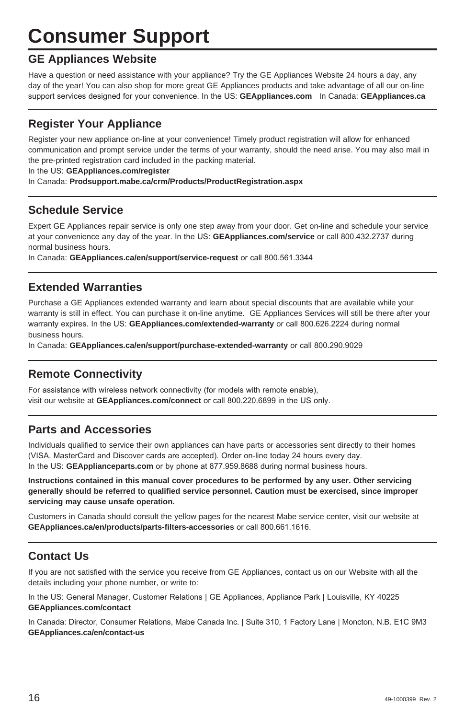# **Consumer Support**

#### **GE Appliances Website**

Have a question or need assistance with your appliance? Try the GE Appliances Website 24 hours a day, any day of the year! You can also shop for more great GE Appliances products and take advantage of all our on-line support services designed for your convenience. In the US: GEAppliances.com In Canada: GEAppliances.ca

#### **Register Your Appliance**

Register your new appliance on-line at your convenience! Timely product registration will allow for enhanced communication and prompt service under the terms of your warranty, should the need arise. You may also mail in the pre-printed registration card included in the packing material.

In the US: GEAppliances.com/register

In Canada: **Prodsupport.mabe.ca/crm/Products/ProductRegistration.aspx**

#### **Schedule Service**

Expert GE Appliances repair service is only one step away from your door. Get on-line and schedule your service at your convenience any day of the year. In the US: GEAppliances.com/service or call 800.432.2737 during normal business hours.

In Canada: GEAppliances.ca/en/support/service-request or call 800.561.3344

#### **Extended Warranties**

Purchase a GE Appliances extended warranty and learn about special discounts that are available while your warranty is still in effect. You can purchase it on-line anytime. GE Appliances Services will still be there after your warranty expires. In the US: GEAppliances.com/extended-warranty or call 800.626.2224 during normal business hours.

In Canada: **GEAppliances.ca/en/support/purchase-extended-warranty** or call 800.290.9029

#### **Remote Connectivity**

For assistance with wireless network connectivity (for models with remote enable), visit our website at GEAppliances.com/connect or call 800.220.6899 in the US only.

#### **Parts and Accessories**

Individuals qualified to service their own appliances can have parts or accessories sent directly to their homes (VISA, MasterCard and Discover cards are accepted). Order on-line today 24 hours every day. In the US: GEApplianceparts.com or by phone at 877.959.8688 during normal business hours.

**Instructions contained in this manual cover procedures to be performed by any user. Other servicing generally should be referred to qualified service personnel. Caution must be exercised, since improper servicing may cause unsafe operation.**

Customers in Canada should consult the yellow pages for the nearest Mabe service center, visit our website at **GEAppliances.ca/en/products/parts-filters-accessories** or call 800.661.1616.

#### **Contact Us**

If you are not satisfied with the service you receive from GE Appliances, contact us on our Website with all the details including your phone number, or write to:

In the US: General Manager, Customer Relations | GE Appliances, Appliance Park | Louisville, KY 40225 **GEAppliances.com/contact**

In Canada: Director, Consumer Relations, Mabe Canada Inc. | Suite 310, 1 Factory Lane | Moncton, N.B. E1C 9M3 **GEAppliances.ca/en/contact-us**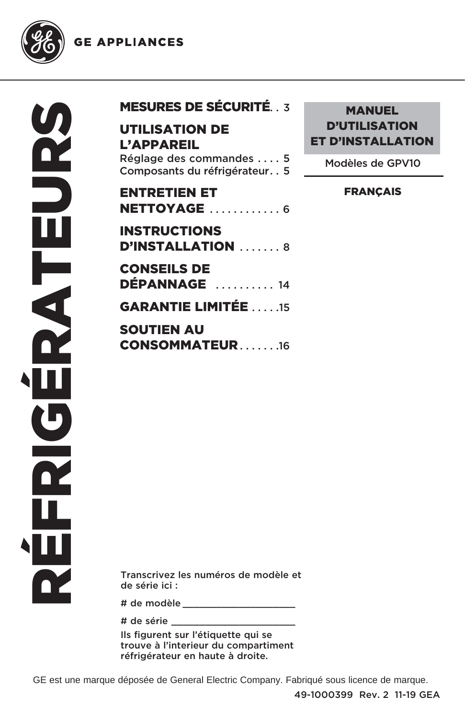**GE APPLIANCES** 



| <b>MESURES DE SÉCURITÉ 3</b> |  |  |
|------------------------------|--|--|
|                              |  |  |

### UTILISATION DE L'APPAREIL

Réglage des commandes . . . . 5 Composants du réfrigérateur . . 5

# ENTRETIEN ET **NETTOYAGE .............6** INSTRUCTIONS

D'INSTALLATION .......8 CONSEILS DE DÉPANNAGE . . . . . . . . . . 14 GARANTIE LIMITÉE . . . . .15

SOUTIEN AU CONSOMMATEUR.......16

### **MANUEL** D'UTILISATION ET D'INSTALLATION

Modèles de GPV10

#### FRANÇAIS

Transcrivez les numéros de modèle et de série ici :

# de modèle \_\_\_\_\_\_\_\_\_\_\_\_\_\_\_\_\_\_\_\_

# de série \_\_\_\_\_\_\_\_\_\_\_\_\_\_\_\_\_\_\_\_\_\_

Ils figurent sur l'étiquette qui se trouve à l'interieur du compartiment réfrigérateur en haute à droite.

GE est une marque déposée de General Electric Company. Fabriqué sous licence de marque.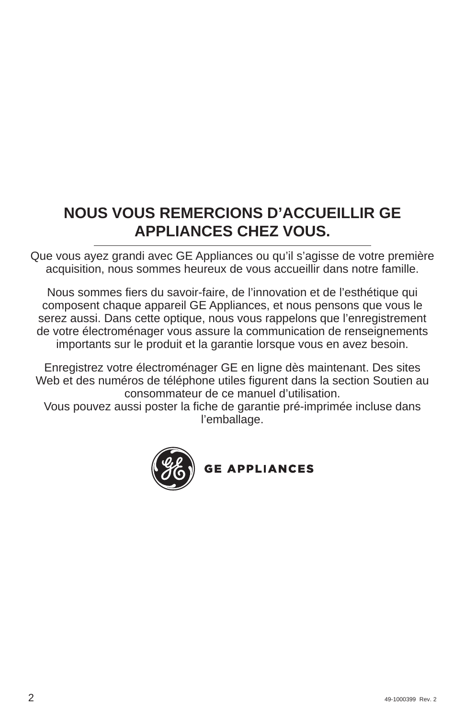# **NOUS VOUS REMERCIONS D'ACCUEILLIR GE APPLIANCES CHEZ VOUS.**

Que vous ayez grandi avec GE Appliances ou qu'il s'agisse de votre première acquisition, nous sommes heureux de vous accueillir dans notre famille.

Nous sommes fiers du savoir-faire, de l'innovation et de l'esthétique qui composent chaque appareil GE Appliances, et nous pensons que vous le serez aussi. Dans cette optique, nous vous rappelons que l'enregistrement de votre électroménager vous assure la communication de renseignements importants sur le produit et la garantie lorsque vous en avez besoin.

Enregistrez votre électroménager GE en ligne dès maintenant. Des sites Web et des numéros de téléphone utiles figurent dans la section Soutien au consommateur de ce manuel d'utilisation.

Vous pouvez aussi poster la fiche de garantie pré-imprimée incluse dans l'emballage.



**GE APPLIANCES**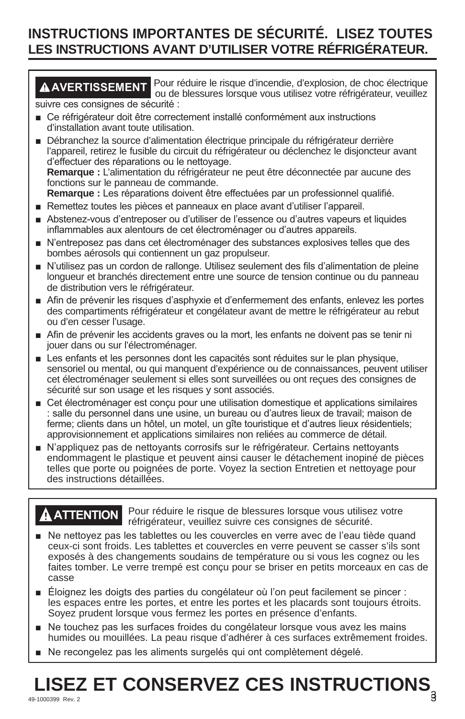# **INSTRUCTIONS IMPORTANTES DE SÉCURITÉ. LISEZ TOUTES LES INSTRUCTIONS AVANT D'UTILISER VOTRE RÉFRIGÉRATEUR.**

**AVERTISSEMENT** Pour réduire le risque d'incendie, d'explosion, de choc électrique ou de blessures lorsque vous utilisez votre réfrigérateur, veuillez suivre ces consignes de sécurité :

- Ce réfrigérateur doit être correctement installé conformément aux instructions d'installation avant toute utilisation.
- Débranchez la source d'alimentation électrique principale du réfrigérateur derrière l'appareil, retirez le fusible du circuit du réfrigérateur ou déclenchez le disjoncteur avant d'effectuer des réparations ou le nettoyage. **Remarque :** L'alimentation du réfrigérateur ne peut être déconnectée par aucune des fonctions sur le panneau de commande. Remarque : Les réparations doivent être effectuées par un professionnel qualifié.
- Remettez toutes les pièces et panneaux en place avant d'utiliser l'appareil.
- Abstenez-vous d'entreposer ou d'utiliser de l'essence ou d'autres vapeurs et liquides inflammables aux alentours de cet électroménager ou d'autres appareils.
- N'entreposez pas dans cet électroménager des substances explosives telles que des bombes aérosols qui contiennent un gaz propulseur.
- N'utilisez pas un cordon de rallonge. Utilisez seulement des fils d'alimentation de pleine longueur et branchés directement entre une source de tension continue ou du panneau de distribution vers le réfrigérateur.
- Afin de prévenir les risques d'asphyxie et d'enfermement des enfants, enlevez les portes des compartiments réfrigérateur et congélateur avant de mettre le réfrigérateur au rebut ou d'en cesser l'usage.
- Afin de prévenir les accidents graves ou la mort, les enfants ne doivent pas se tenir ni jouer dans ou sur l'électroménager.
- Les enfants et les personnes dont les capacités sont réduites sur le plan physique, sensoriel ou mental, ou qui manquent d'expérience ou de connaissances, peuvent utiliser cet électroménager seulement si elles sont surveillées ou ont reçues des consignes de sécurité sur son usage et les risques y sont associés.
- E Cet électroménager est conçu pour une utilisation domestique et applications similaires : salle du personnel dans une usine, un bureau ou d'autres lieux de travail; maison de ferme; clients dans un hôtel, un motel, un gîte touristique et d'autres lieux résidentiels; approvisionnement et applications similaires non reliées au commerce de détail.
- N'appliquez pas de nettoyants corrosifs sur le réfrigérateur. Certains nettoyants endommagent le plastique et peuvent ainsi causer le détachement inopiné de pièces telles que porte ou poignées de porte. Voyez la section Entretien et nettoyage pour des instructions détaillées.

**ATTENTION** Pour réduire le risque de blessures lorsque vous utilisez votre réfrigérateur, veuillez suivre ces consignes de sécurité.

- Ne nettoyez pas les tablettes ou les couvercles en verre avec de l'eau tiède quand ceux-ci sont froids. Les tablettes et couvercles en verre peuvent se casser s'ils sont exposés à des changements soudains de température ou si vous les cognez ou les faites tomber. Le verre trempé est conçu pour se briser en petits morceaux en cas de casse
- **E** Eloignez les doigts des parties du congélateur où l'on peut facilement se pincer : les espaces entre les portes, et entre les portes et les placards sont toujours étroits. Soyez prudent lorsque vous fermez les portes en présence d'enfants.
- Ne touchez pas les surfaces froides du congélateur lorsque vous avez les mains humides ou mouillées. La peau risque d'adhérer à ces surfaces extrêmement froides.
- Ne recongelez pas les aliments surgelés qui ont complètement dégelé.

# **LISEZ ET CONSERVEZ CES INSTRUCTIONS**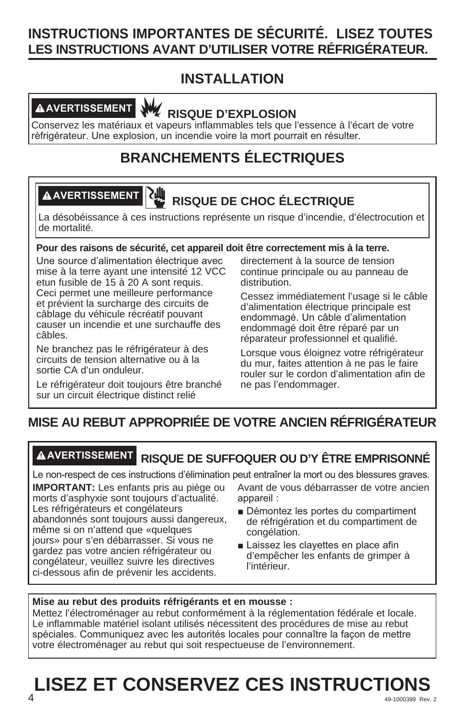# **INSTRUCTIONS IMPORTANTES DE SÉCURITÉ. LISEZ TOUTES LES INSTRUCTIONS AVANT D'UTILISER VOTRE RÉFRIGÉRATEUR.**

# **INSTALLATION**



**AVERTISSEMENT RISQUE D'EXPLOSION** 

Conservez les matériaux et vapeurs inflammables tels que l'essence à l'écart de votre réfrigérateur. Une explosion, un incendie voire la mort pourrait en résulter.

# **BRANCHEMENTS ÉLECTRIQUES**

# **AVERTISSEMENT RISQUE DE CHOC ÉLECTRIQUE**

La désobéissance à ces instructions représente un risque d'incendie, d'électrocution et de mortalité.

#### **Pour des raisons de sécurité, cet appareil doit être correctement mis à la terre.**

Une source d'alimentation électrique avec mise à la terre ayant une intensité 12 VCC etun fusible de 15 à 20 A sont requis. Ceci permet une meilleure performance et prévient la surcharge des circuits de câblage du véhicule récréatif pouvant causer un incendie et une surchauffe des câbles.

Ne branchez pas le réfrigérateur à des circuits de tension alternative ou à la sortie CA d'un onduleur.

Le réfrigérateur doit toujours être branché sur un circuit électrique distinct relié

directement à la source de tension continue principale ou au panneau de distribution.

Cessez immédiatement l'usage si le câble d'alimentation électrique principale est endommagé. Un câble d'alimentation endommagé doit être réparé par un réparateur professionnel et qualifié.

Lorsque vous éloignez votre réfrigérateur du mur, faites attention à ne pas le faire rouler sur le cordon d'alimentation afin de ne pas l'endommager.

# **MISE AU REBUT APPROPRIÉE DE VOTRE ANCIEN RÉFRIGÉRATEUR**

## **AVERTISSEMENT RISQUE DE SUFFOQUER OU D'Y ÊTRE EMPRISONNÉ**

Le non-respect de ces instructions d'élimination peut entraîner la mort ou des blessures graves.

**IMPORTANT:** Les enfants pris au piège ou morts d'asphyxie sont toujours d'actualité. Les réfrigérateurs et congélateurs abandonnés sont toujours aussi dangereux, même si on n'attend que «quelques jours» pour s'en débarrasser. Si vous ne gardez pas votre ancien réfrigérateur ou congélateur, veuillez suivre les directives ci-dessous afin de prévenir les accidents.

Avant de vous débarrasser de votre ancien appareil:

- Démontez les portes du compartiment de réfrigération et du compartiment de congélation.
- Laissez les clayettes en place afin d'empêcher les enfants de grimper à l'intérieur.

#### **Mise au rebut des produits réfrigérants et en mousse :**

Mettez l'électroménager au rebut conformément à la réglementation fédérale et locale. Le inflammable matériel isolant utilisés nécessitent des procédures de mise au rebut spéciales. Communiquez avec les autorités locales pour connaître la façon de mettre votre électroménager au rebut qui soit respectueuse de l'environnement.

### **49-1000399 Rev. 2**  $\overline{49-1000399}$  Rev. 2 **LISEZ ET CONSERVEZ CES INSTRUCTIONS**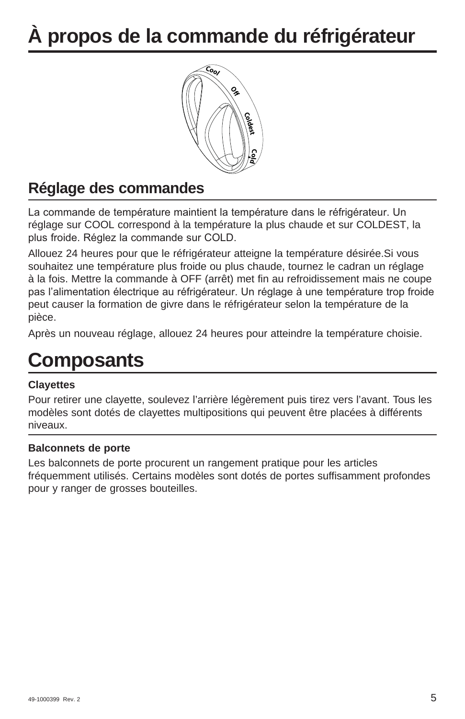# **À propos de la commande du réfrigérateur**



# **Réglage des commandes**

La commande de température maintient la température dans le réfrigérateur. Un réglage sur COOL correspond à la température la plus chaude et sur COLDEST, la plus froide. Réglez la commande sur COLD.

Allouez 24 heures pour que le réfrigérateur atteigne la température désirée.Si vous souhaitez une température plus froide ou plus chaude, tournez le cadran un réglage à la fois. Mettre la commande à OFF (arrêt) met fin au refroidissement mais ne coupe pas l'alimentation électrique au réfrigérateur. Un réglage à une température trop froide peut causer la formation de givre dans le réfrigérateur selon la température de la pièce.

Après un nouveau réglage, allouez 24 heures pour atteindre la température choisie.

# **Composants**

#### **Clayettes**

Pour retirer une clayette, soulevez l'arrière légèrement puis tirez vers l'avant. Tous les modèles sont dotés de clayettes multipositions qui peuvent être placées à différents niveaux.

#### **Balconnets de porte**

Les balconnets de porte procurent un rangement pratique pour les articles fréquemment utilisés. Certains modèles sont dotés de portes suffisamment profondes pour y ranger de grosses bouteilles.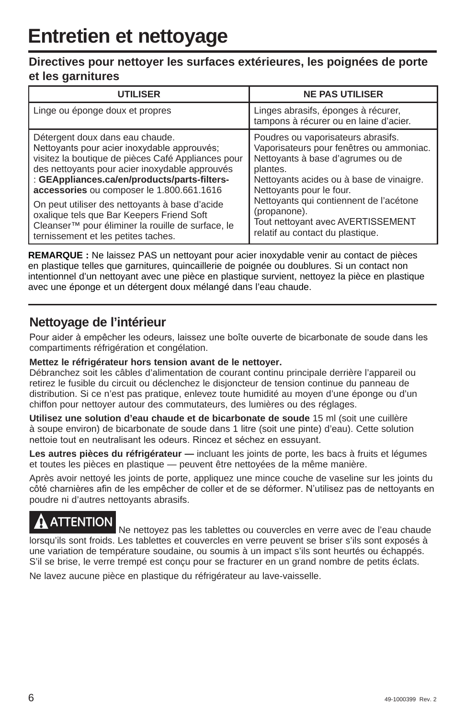#### **Directives pour nettoyer les surfaces extérieures, les poignées de porte et les garnitures**

| <b>UTILISER</b>                                    | <b>NE PAS UTILISER</b>                                                        |
|----------------------------------------------------|-------------------------------------------------------------------------------|
| Linge ou éponge doux et propres                    | Linges abrasifs, éponges à récurer,<br>tampons à récurer ou en laine d'acier. |
| Détergent doux dans eau chaude.                    | Poudres ou vaporisateurs abrasifs.                                            |
| Nettoyants pour acier inoxydable approuvés;        | Vaporisateurs pour fenêtres ou ammoniac.                                      |
| visitez la boutique de pièces Café Appliances pour | Nettoyants à base d'agrumes ou de                                             |
| des nettoyants pour acier inoxydable approuvés     | plantes.                                                                      |
| : GEAppliances.ca/en/products/parts-filters-       | Nettoyants acides ou à base de vinaigre.                                      |
| accessories ou composer le 1.800.661.1616          | Nettoyants pour le four.                                                      |
| On peut utiliser des nettoyants à base d'acide     | Nettoyants qui contiennent de l'acétone                                       |
| oxalique tels que Bar Keepers Friend Soft          | (propanone).                                                                  |
| Cleanser™ pour éliminer la rouille de surface, le  | Tout nettoyant avec AVERTISSEMENT                                             |
| ternissement et les petites taches.                | relatif au contact du plastique.                                              |

**REMARQUE :** Ne laissez PAS un nettoyant pour acier inoxydable venir au contact de pièces en plastique telles que garnitures, quincaillerie de poignée ou doublures. Si un contact non intentionnel d'un nettoyant avec une pièce en plastique survient, nettoyez la pièce en plastique avec une éponge et un détergent doux mélangé dans l'eau chaude.

#### **Nettoyage de l'intérieur**

Pour aider à empêcher les odeurs, laissez une boîte ouverte de bicarbonate de soude dans les compartiments réfrigération et congélation.

#### **Mettez le réfrigérateur hors tension avant de le nettoyer.**

Débranchez soit les câbles d'alimentation de courant continu principale derrière l'appareil ou retirez le fusible du circuit ou déclenchez le disjoncteur de tension continue du panneau de distribution. Si ce n'est pas pratique, enlevez toute humidité au moyen d'une éponge ou d'un chiffon pour nettoyer autour des commutateurs, des lumières ou des réglages.

**Utilisez une solution d'eau chaude et de bicarbonate de soude** 15 ml (soit une cuillère à soupe environ) de bicarbonate de soude dans 1 litre (soit une pinte) d'eau). Cette solution nettoie tout en neutralisant les odeurs. Rincez et séchez en essuyant.

**Les autres pièces du réfrigérateur —** incluant les joints de porte, les bacs à fruits et légumes et toutes les pièces en plastique — peuvent être nettoyées de la même manière.

Après avoir nettoyé les joints de porte, appliquez une mince couche de vaseline sur les joints du côté charnières afin de les empêcher de coller et de se déformer. N'utilisez pas de nettoyants en poudre ni d'autres nettoyants abrasifs.

**ATTENTION** Ne nettoyez pas les tablettes ou couvercles en verre avec de l'eau chaude lorsqu'ils sont froids. Les tablettes et couvercles en verre peuvent se briser s'ils sont exposés à une variation de température soudaine, ou soumis à un impact s'ils sont heurtés ou échappés. S'il se brise, le verre trempé est conçu pour se fracturer en un grand nombre de petits éclats.

Ne lavez aucune pièce en plastique du réfrigérateur au lave-vaisselle.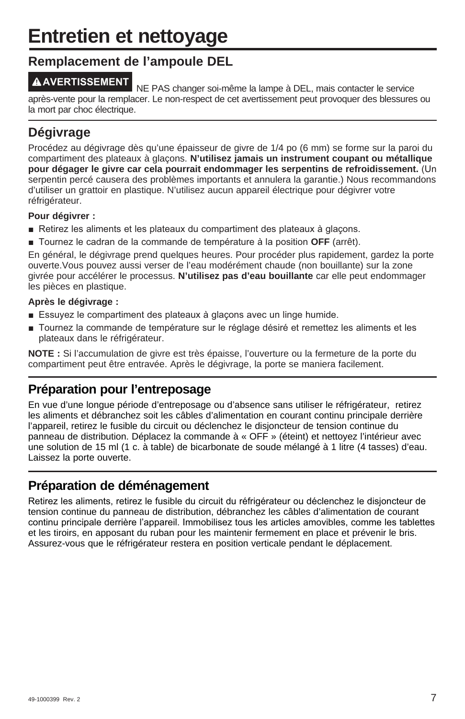# **Entretien et nettoyage**

#### **Remplacement de l'ampoule DEL**

**AVERTISSEMENT** NE PAS changer soi-même la lampe à DEL, mais contacter le service après-vente pour la remplacer. Le non-respect de cet avertissement peut provoquer des blessures ou la mort par choc électrique.

### **Dégivrage**

Procédez au dégivrage dès qu'une épaisseur de givre de 1/4 po (6 mm) se forme sur la paroi du compartiment des plateaux à glaçons. **N'utilisez jamais un instrument coupant ou métallique pour dégager le givre car cela pourrait endommager les serpentins de refroidissement.** (Un serpentin percé causera des problèmes importants et annulera la garantie.) Nous recommandons d'utiliser un grattoir en plastique. N'utilisez aucun appareil électrique pour dégivrer votre réfrigérateur.

#### **Pour dégivrer :**

- Retirez les aliments et les plateaux du compartiment des plateaux à glacons.
- **T** Tournez le cadran de la commande de température à la position OFF (arrêt).

En général, le dégivrage prend quelques heures. Pour procéder plus rapidement, gardez la porte ouverte.Vous pouvez aussi verser de l'eau modérément chaude (non bouillante) sur la zone givrée pour accélérer le processus. **N'utilisez pas d'eau bouillante** car elle peut endommager les pièces en plastique.

#### **Après le dégivrage :**

- Essuyez le compartiment des plateaux à glaçons avec un linge humide.
- Tournez la commande de température sur le réglage désiré et remettez les aliments et les plateaux dans le réfrigérateur.

**NOTE :** Si l'accumulation de givre est très épaisse, l'ouverture ou la fermeture de la porte du compartiment peut être entravée. Après le dégivrage, la porte se maniera facilement.

## **Préparation pour l'entreposage**

En vue d'une longue période d'entreposage ou d'absence sans utiliser le réfrigérateur, retirez les aliments et débranchez soit les câbles d'alimentation en courant continu principale derrière l'appareil, retirez le fusible du circuit ou déclenchez le disjoncteur de tension continue du panneau de distribution. Déplacez la commande à « OFF » (éteint) et nettoyez l'intérieur avec une solution de 15 ml (1 c. à table) de bicarbonate de soude mélangé à 1 litre (4 tasses) d'eau. Laissez la porte ouverte.

### **Préparation de déménagement**

Retirez les aliments, retirez le fusible du circuit du réfrigérateur ou déclenchez le disjoncteur de tension continue du panneau de distribution, débranchez les câbles d'alimentation de courant continu principale derrière l'appareil. Immobilisez tous les articles amovibles, comme les tablettes et les tiroirs, en apposant du ruban pour les maintenir fermement en place et prévenir le bris. Assurez-vous que le réfrigérateur restera en position verticale pendant le déplacement.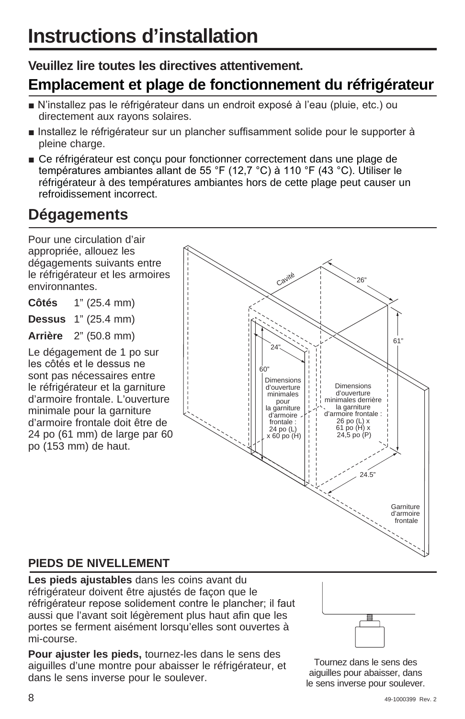## **Veuillez lire toutes les directives attentivement.**

# **Emplacement et plage de fonctionnement du réfrigérateur**

- N'installez pas le réfrigérateur dans un endroit exposé à l'eau (pluie, etc.) ou directement aux rayons solaires.
- n Installez le réfrigérateur sur un plancher suffisamment solide pour le supporter à pleine charge.
- Ce réfrigérateur est concu pour fonctionner correctement dans une plage de températures ambiantes allant de 55 °F (12,7 °C) à 110 °F (43 °C). Utiliser le réfrigérateur à des températures ambiantes hors de cette plage peut causer un refroidissement incorrect.

# **Dégagements**

Pour une circulation d'air appropriée, allouez les dégagements suivants entre le réfrigérateur et les armoires environnantes.

**Côtés** 1" (25.4 mm)

**Dessus** 1" (25.4 mm)

**Arrière** 2" (50.8 mm)

Le dégagement de 1 po sur les côtés et le dessus ne sont pas nécessaires entre le réfrigérateur et la garniture d'armoire frontale. L'ouverture minimale pour la garniture d'armoire frontale doit être de 24 po (61 mm) de large par 60 po (153 mm) de haut.



## **PIEDS DE NIVELLEMENT**

**Les pieds ajustables** dans les coins avant du réfrigérateur doivent être ajustés de façon que le réfrigérateur repose solidement contre le plancher; il faut aussi que l'avant soit légèrement plus haut afin que les portes se ferment aisément lorsqu'elles sont ouvertes à mi-course.

**Pour ajuster les pieds,** tournez-les dans le sens des aiguilles d'une montre pour abaisser le réfrigérateur, et dans le sens inverse pour le soulever.



Tournez dans le sens des aiguilles pour abaisser, dans le sens inverse pour soulever.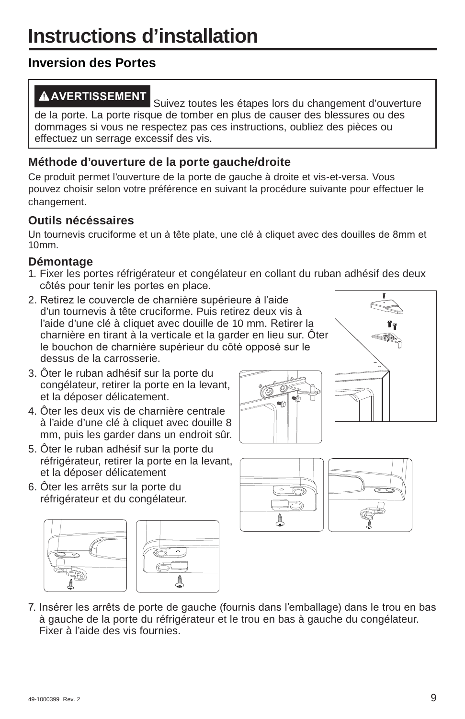# **Inversion des Portes**

**AVERTISSEMENT** Suivez toutes les étapes lors du changement d'ouverture de la porte. La porte risque de tomber en plus de causer des blessures ou des dommages si vous ne respectez pas ces instructions, oubliez des pièces ou effectuez un serrage excessif des vis.

### **Méthode d'ouverture de la porte gauche/droite**

Ce produit permet l'ouverture de la porte de gauche à droite et vis-et-versa. Vous pouvez choisir selon votre préférence en suivant la procédure suivante pour effectuer le changement.

### **Outils nécéssaires**

Un tournevis cruciforme et un à tête plate, une clé à cliquet avec des douilles de 8mm et 10mm.

#### **Démontage**

- 1. Fixer les portes réfrigérateur et congélateur en collant du ruban adhésif des deux côtés pour tenir les portes en place.
- 2. Retirez le couvercle de charnière supérieure à l'aide d'un tournevis à tête cruciforme. Puis retirez deux vis à l'aide d'une clé à cliquet avec douille de 10 mm. Retirer la charnière en tirant à la verticale et la garder en lieu sur. Ôter le bouchon de charnière supérieur du côté opposé sur le dessus de la carrosserie.
- 3. Ôter le ruban adhésif sur la porte du congélateur, retirer la porte en la levant, et la déposer délicatement.
- 4. Ôter les deux vis de charnière centrale à l'aide d'une clé à cliquet avec douille 8 mm, puis les garder dans un endroit sûr.
- 5. Ôter le ruban adhésif sur la porte du réfrigérateur, retirer la porte en la levant, et la déposer délicatement
- 6. Ôter les arrêts sur la porte du réfrigérateur et du congélateur.











7. Insérer les arrêts de porte de gauche (fournis dans l'emballage) dans le trou en bas à gauche de la porte du réfrigérateur et le trou en bas à gauche du congélateur. Fixer à l'aide des vis fournies.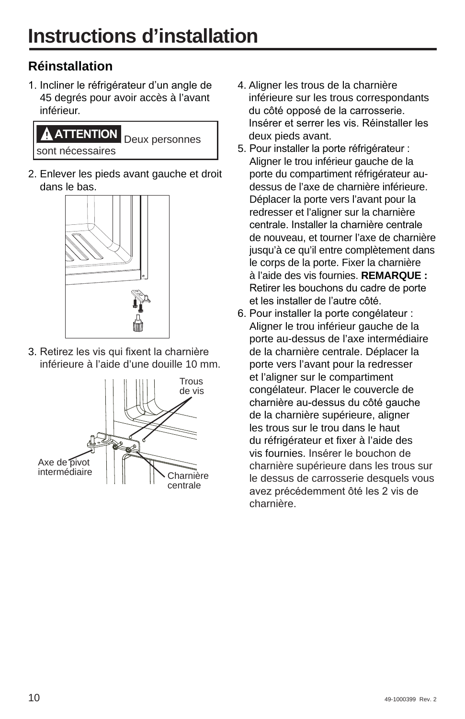# **Réinstallation**

1. Incliner le réfrigérateur d'un angle de 45 degrés pour avoir accès à l'avant inférieur.

# **ATTENTION** Deux personnes sont nécessaires

2. Enlever les pieds avant gauche et droit dans le bas.



3. Retirez les vis qui fixent la charnière inférieure à l'aide d'une douille 10 mm.



- 4. Aligner les trous de la charnière inférieure sur les trous correspondants du côté opposé de la carrosserie. Insérer et serrer les vis. Réinstaller les deux pieds avant.
- 5. Pour installer la porte réfrigérateur : Aligner le trou inférieur gauche de la porte du compartiment réfrigérateur audessus de l'axe de charnière inférieure. Déplacer la porte vers l'avant pour la redresser et l'aligner sur la charnière centrale. Installer la charnière centrale de nouveau, et tourner l'axe de charnière jusqu'à ce qu'il entre complètement dans le corps de la porte. Fixer la charnière à l'aide des vis fournies. **REMARQUE :** Retirer les bouchons du cadre de porte et les installer de l'autre côté.
- 6. Pour installer la porte congélateur : Aligner le trou inférieur gauche de la porte au-dessus de l'axe intermédiaire de la charnière centrale. Déplacer la porte vers l'avant pour la redresser et l'aligner sur le compartiment congélateur. Placer le couvercle de charnière au-dessus du côté gauche de la charnière supérieure, aligner les trous sur le trou dans le haut du réfrigérateur et fixer à l'aide des vis fournies. Insérer le bouchon de charnière supérieure dans les trous sur le dessus de carrosserie desquels vous avez précédemment ôté les 2 vis de charnière.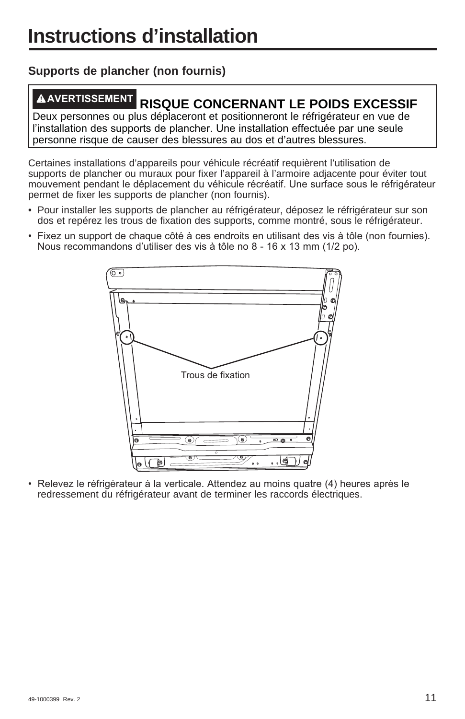## **Supports de plancher (non fournis)**

# **AVERTISSEMENT RISQUE CONCERNANT LE POIDS EXCESSIF**

Deux personnes ou plus déplaceront et positionneront le réfrigérateur en vue de l'installation des supports de plancher. Une installation effectuée par une seule personne risque de causer des blessures au dos et d'autres blessures.

Certaines installations d'appareils pour véhicule récréatif requièrent l'utilisation de supports de plancher ou muraux pour fixer l'appareil à l'armoire adjacente pour éviter tout mouvement pendant le déplacement du véhicule récréatif. Une surface sous le réfrigérateur permet de fixer les supports de plancher (non fournis).

- Pour installer les supports de plancher au réfrigérateur, déposez le réfrigérateur sur son dos et repérez les trous de fixation des supports, comme montré, sous le réfrigérateur.
- Fixez un support de chaque côté à ces endroits en utilisant des vis à tôle (non fournies). Nous recommandons d'utiliser des vis à tôle no 8 - 16 x 13 mm (1/2 po).



Relevez le réfrigérateur à la verticale. Attendez au moins quatre (4) heures après le redressement du réfrigérateur avant de terminer les raccords électriques.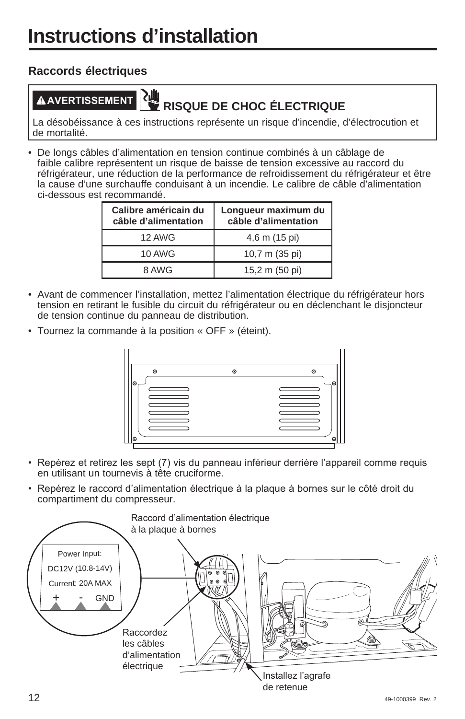### **Raccords électriques**

# **AVERTISSEMENT RISQUE DE CHOC ÉLECTRIQUE**

La désobéissance à ces instructions représente un risque d'incendie, d'électrocution et de mortalité.

• De longs câbles d'alimentation en tension continue combinés à un câblage de faible calibre représentent un risque de baisse de tension excessive au raccord du réfrigérateur, une réduction de la performance de refroidissement du réfrigérateur et être la cause d'une surchauffe conduisant à un incendie. Le calibre de câble d'alimentation ci-dessous est recommandé.

| Calibre américain du<br>câble d'alimentation | Longueur maximum du<br>câble d'alimentation |
|----------------------------------------------|---------------------------------------------|
| 12 AWG                                       | 4,6 m (15 pi)                               |
| 10 AWG                                       | 10,7 m (35 pi)                              |
| 8 AWG                                        | 15,2 m (50 pi)                              |

- Avant de commencer l'installation, mettez l'alimentation électrique du réfrigérateur hors tension en retirant le fusible du circuit du réfrigérateur ou en déclenchant le disjoncteur de tension continue du panneau de distribution.
- Tournez la commande à la position « OFF » (éteint).



- Repérez et retirez les sept (7) vis du panneau inférieur derrière l'appareil comme requis en utilisant un tournevis à tête cruciforme.
- Repérez le raccord d'alimentation électrique à la plaque à bornes sur le côté droit du compartiment du compresseur.

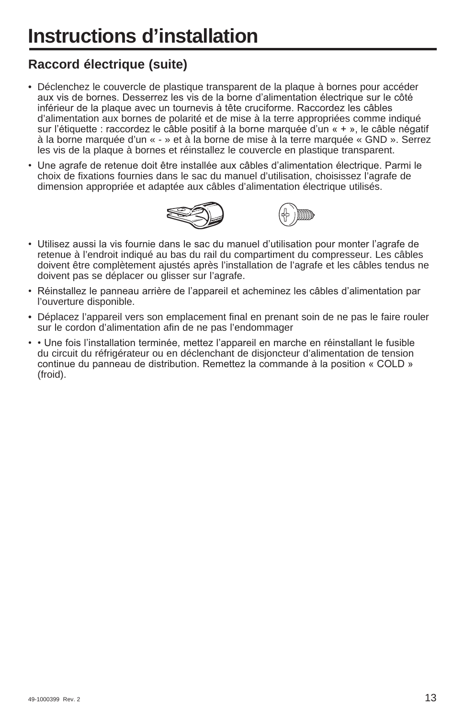# **Raccord électrique (suite)**

- Déclenchez le couvercle de plastique transparent de la plaque à bornes pour accéder aux vis de bornes. Desserrez les vis de la borne d'alimentation électrique sur le côté inférieur de la plaque avec un tournevis à tête cruciforme. Raccordez les câbles d'alimentation aux bornes de polarité et de mise à la terre appropriées comme indiqué sur l'étiquette : raccordez le câble positif à la borne marquée d'un  $\kappa + \kappa$ , le câble négatif à la borne marquée d'un « - » et à la borne de mise à la terre marquée « GND ». Serrez les vis de la plaque à bornes et réinstallez le couvercle en plastique transparent.
- Une agrafe de retenue doit être installée aux câbles d'alimentation électrique. Parmi le choix de fixations fournies dans le sac du manuel d'utilisation, choisissez l'agrafe de dimension appropriée et adaptée aux câbles d'alimentation électrique utilisés.





- Utilisez aussi la vis fournie dans le sac du manuel d'utilisation pour monter l'agrafe de retenue à l'endroit indiqué au bas du rail du compartiment du compresseur. Les câbles doivent être complètement ajustés après l'installation de l'agrafe et les câbles tendus ne doivent pas se déplacer ou glisser sur l'agrafe.
- Réinstallez le panneau arrière de l'appareil et acheminez les câbles d'alimentation par l'ouverture disponible.
- Déplacez l'appareil vers son emplacement final en prenant soin de ne pas le faire rouler sur le cordon d'alimentation afin de ne pas l'endommager
- • Une fois l'installation terminée, mettez l'appareil en marche en réinstallant le fusible du circuit du réfrigérateur ou en déclenchant de disjoncteur d'alimentation de tension continue du panneau de distribution. Remettez la commande à la position « COLD » (froid).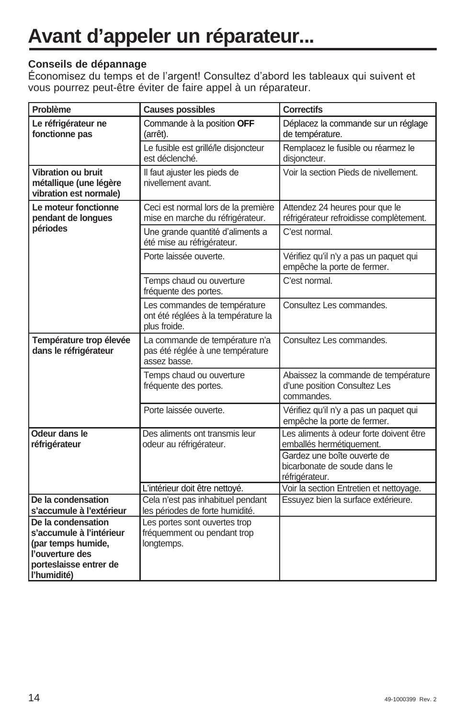# **Avant d'appeler un réparateur...**

#### **Conseils de dépannage**

Économisez du temps et de l'argent! Consultez d'abord les tableaux qui suivent et vous pourrez peut-être éviter de faire appel à un réparateur.

| Problème                                                                      | <b>Causes possibles</b>                                                             | <b>Correctifs</b>                                                                 |
|-------------------------------------------------------------------------------|-------------------------------------------------------------------------------------|-----------------------------------------------------------------------------------|
| Le réfrigérateur ne<br>fonctionne pas                                         | Commande à la position OFF<br>(arrêt).                                              | Déplacez la commande sur un réglage<br>de température.                            |
|                                                                               | Le fusible est grillé/le disjoncteur<br>est déclenché.                              | Remplacez le fusible ou réarmez le<br>disjoncteur.                                |
| <b>Vibration ou bruit</b><br>métallique (une légère<br>vibration est normale) | Il faut ajuster les pieds de<br>nivellement avant.                                  | Voir la section Pieds de nivellement.                                             |
| Le moteur fonctionne<br>pendant de longues                                    | Ceci est normal lors de la première<br>mise en marche du réfrigérateur.             | Attendez 24 heures pour que le<br>réfrigérateur refroidisse complètement.         |
| périodes                                                                      | Une grande quantité d'aliments a<br>été mise au réfrigérateur.                      | C'est normal.                                                                     |
|                                                                               | Porte laissée ouverte.                                                              | Vérifiez qu'il n'y a pas un paquet qui<br>empêche la porte de fermer.             |
|                                                                               | Temps chaud ou ouverture<br>fréquente des portes.                                   | C'est normal.                                                                     |
|                                                                               | Les commandes de température<br>ont été réglées à la température la<br>plus froide. | Consultez Les commandes.                                                          |
| Température trop élevée<br>dans le réfrigérateur                              | La commande de température n'a<br>pas été réglée à une température<br>assez basse.  | Consultez Les commandes.                                                          |
|                                                                               | Temps chaud ou ouverture<br>fréquente des portes.                                   | Abaissez la commande de température<br>d'une position Consultez Les<br>commandes. |
|                                                                               | Porte laissée ouverte.                                                              | Vérifiez qu'il n'y a pas un paquet qui<br>empêche la porte de fermer.             |
| Odeur dans le<br>réfrigérateur                                                | Des aliments ont transmis leur<br>odeur au réfrigérateur.                           | Les aliments à odeur forte doivent être<br>emballés hermétiquement.               |
|                                                                               |                                                                                     | Gardez une boîte ouverte de<br>bicarbonate de soude dans le<br>réfrigérateur.     |
|                                                                               | L'intérieur doit être nettoyé.                                                      | Voir la section Entretien et nettoyage.                                           |
| De la condensation                                                            | Cela n'est pas inhabituel pendant                                                   | Essuyez bien la surface extérieure.                                               |
| s'accumule à l'extérieur                                                      | les périodes de forte humidité.                                                     |                                                                                   |
| De la condensation                                                            | Les portes sont ouvertes trop                                                       |                                                                                   |
| s'accumule à l'intérieur                                                      | fréquemment ou pendant trop                                                         |                                                                                   |
| (par temps humide,                                                            | longtemps.                                                                          |                                                                                   |
| l'ouverture des<br>porteslaisse entrer de                                     |                                                                                     |                                                                                   |
| l'humidité)                                                                   |                                                                                     |                                                                                   |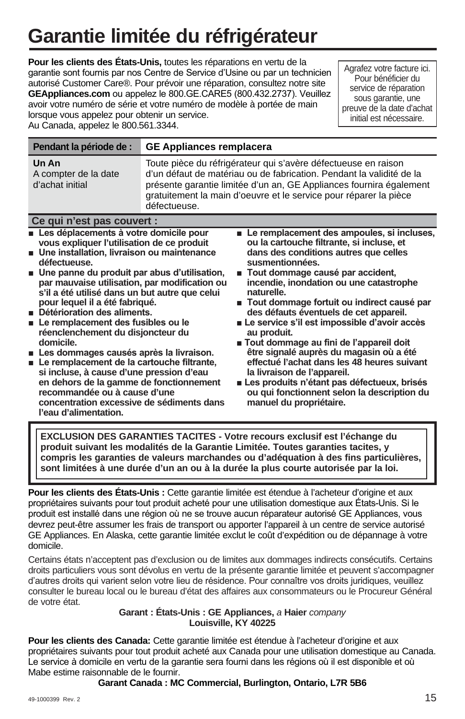# **Garantie limitée du réfrigérateur**

**Pour les clients des États-Unis,** toutes les réparations en vertu de la garantie sont fournis par nos Centre de Service d'Usine ou par un technicien autorisé Customer Care®. Pour prévoir une réparation, consultez notre site **GEAppliances.com** ou appelez le 800. GE. CARE5 (800. 432. 2737). Veuillez avoir votre numéro de série et votre numéro de modèle à portée de main lorsque vous appelez pour obtenir un service. Au Canada, appelez le 800.561.3344.

Agrafez votre facture ici. Pour bénéficier du service de réparation sous garantie, une preuve de la date d'achat initial est nécessaire.

| Pendant la période de :                                                                                                                                                                                                                                                                                                                                                                                                                                                                                                                                                                                                                                                                                                                                  | <b>GE Appliances remplacera</b>                                                                                                                                                                                                                                                                    |                                                                                                                                                                                                                                                                                                                                                                                                                                                                                                                                                                                                                                                                                                                |  |
|----------------------------------------------------------------------------------------------------------------------------------------------------------------------------------------------------------------------------------------------------------------------------------------------------------------------------------------------------------------------------------------------------------------------------------------------------------------------------------------------------------------------------------------------------------------------------------------------------------------------------------------------------------------------------------------------------------------------------------------------------------|----------------------------------------------------------------------------------------------------------------------------------------------------------------------------------------------------------------------------------------------------------------------------------------------------|----------------------------------------------------------------------------------------------------------------------------------------------------------------------------------------------------------------------------------------------------------------------------------------------------------------------------------------------------------------------------------------------------------------------------------------------------------------------------------------------------------------------------------------------------------------------------------------------------------------------------------------------------------------------------------------------------------------|--|
| Un An<br>A compter de la date<br>d'achat initial                                                                                                                                                                                                                                                                                                                                                                                                                                                                                                                                                                                                                                                                                                         | Toute pièce du réfrigérateur qui s'avère défectueuse en raison<br>d'un défaut de matériau ou de fabrication. Pendant la validité de la<br>présente garantie limitée d'un an, GE Appliances fournira également<br>gratuitement la main d'oeuvre et le service pour réparer la pièce<br>défectueuse. |                                                                                                                                                                                                                                                                                                                                                                                                                                                                                                                                                                                                                                                                                                                |  |
| Ce qui n'est pas couvert :                                                                                                                                                                                                                                                                                                                                                                                                                                                                                                                                                                                                                                                                                                                               |                                                                                                                                                                                                                                                                                                    |                                                                                                                                                                                                                                                                                                                                                                                                                                                                                                                                                                                                                                                                                                                |  |
| ■ Les déplacements à votre domicile pour<br>vous expliquer l'utilisation de ce produit<br>Une installation, livraison ou maintenance<br>défectueuse.<br>■ Une panne du produit par abus d'utilisation,<br>par mauvaise utilisation, par modification ou<br>s'il a été utilisé dans un but autre que celui<br>pour lequel il a été fabriqué.<br>Détérioration des aliments.<br>Le remplacement des fusibles ou le<br>réenclenchement du disjoncteur du<br>domicile.<br>Les dommages causés après la livraison.<br>Le remplacement de la cartouche filtrante,<br>si incluse, à cause d'une pression d'eau<br>en dehors de la gamme de fonctionnement<br>recommandée ou à cause d'une<br>concentration excessive de sédiments dans<br>l'eau d'alimentation. |                                                                                                                                                                                                                                                                                                    | ■ Le remplacement des ampoules, si incluses,<br>ou la cartouche filtrante, si incluse, et<br>dans des conditions autres que celles<br>susmentionnées.<br>Tout dommage causé par accident,<br>٠<br>incendie, inondation ou une catastrophe<br>naturelle<br>■ Tout dommage fortuit ou indirect causé par<br>des défauts éventuels de cet appareil.<br>Le service s'il est impossible d'avoir accès<br>au produit.<br>■ Tout dommage au fini de l'appareil doit<br>être signalé auprès du magasin où a été<br>effectué l'achat dans les 48 heures suivant<br>la livraison de l'appareil.<br>Les produits n'étant pas défectueux, brisés<br>ou qui fonctionnent selon la description du<br>manuel du propriétaire. |  |

**EXCLUSION DES GARANTIES TACITES - Votre recours exclusif est l'échange du produit suivant les modalités de la Garantie Limitée. Toutes garanties tacites, y compris les garanties de valeurs marchandes ou d'adéquation à des fins particulières, sont limitées à une durée d'un an ou à la durée la plus courte autorisée par la loi.**

**Pour les clients des États-Unis :** Cette garantie limitée est étendue à l'acheteur d'origine et aux propriétaires suivants pour tout produit acheté pour une utilisation domestique aux États-Unis. Si le produit est installé dans une région où ne se trouve aucun réparateur autorisé GE Appliances, vous devrez peut-être assumer les frais de transport ou apporter l'appareil à un centre de service autorisé GE Appliances. En Alaska, cette garantie limitée exclut le coût d'expédition ou de dépannage à votre domicile.

Certains états n'acceptent pas d'exclusion ou de limites aux dommages indirects consécutifs. Certains droits particuliers vous sont dévolus en vertu de la présente garantie limitée et peuvent s'accompagner d'autres droits qui varient selon votre lieu de résidence. Pour connaître vos droits juridiques, veuillez consulter le bureau local ou le bureau d'état des affaires aux consommateurs ou le Procureur Général de votre état.

#### **Garant : États-Unis : GE Appliances,** *a* **Haier** *company*  **Louisville, KY 40225**

**Pour les clients des Canada:** Cette garantie limitée est étendue à l'acheteur d'origine et aux propriétaires suivants pour tout produit acheté aux Canada pour une utilisation domestique au Canada. Le service à domicile en vertu de la garantie sera fourni dans les régions où il est disponible et où Mabe estime raisonnable de le fournir.

**Garant Canada : MC Commercial, Burlington, Ontario, L7R 5B6**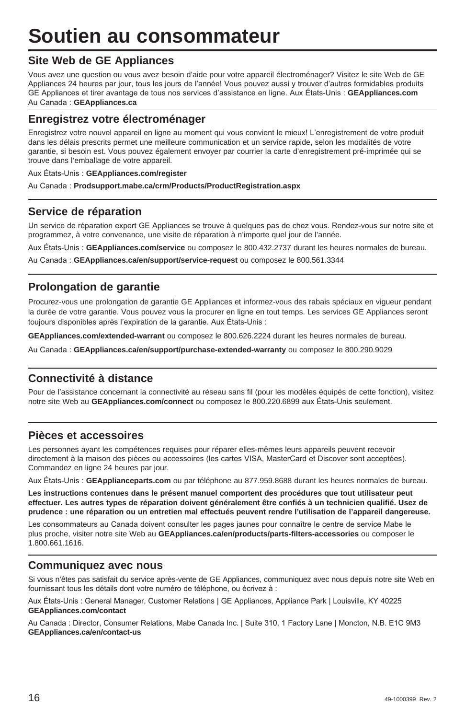# **Soutien au consommateur**

#### **Site Web de GE Appliances**

Vous avez une question ou vous avez besoin d'aide pour votre appareil électroménager? Visitez le site Web de GE Appliances 24 heures par jour, tous les jours de l'année! Vous pouvez aussi y trouver d'autres formidables produits GE Appliances et tirer avantage de tous nos services d'assistance en ligne. Aux États-Unis : GEAppliances.com Au Canada: GEAppliances.ca

#### **Enregistrez votre électroménager**

Enregistrez votre nouvel appareil en ligne au moment qui vous convient le mieux! L'enregistrement de votre produit dans les délais prescrits permet une meilleure communication et un service rapide, selon les modalités de votre garantie, si besoin est. Vous pouvez également envoyer par courrier la carte d'enregistrement pré-imprimée qui se trouve dans l'emballage de votre appareil.

#### Aux États-Unis : GEAppliances.com/register

Au Canada: Prodsupport.mabe.ca/crm/Products/ProductRegistration.aspx

#### **Service de réparation**

Un service de réparation expert GE Appliances se trouve à quelques pas de chez vous. Rendez-vous sur notre site et programmez, à votre convenance, une visite de réparation à n'importe quel jour de l'année.

Aux États-Unis : GEAppliances.com/service ou composez le 800.432.2737 durant les heures normales de bureau.

Au Canada : GEAppliances.ca/en/support/service-request ou composez le 800.561.3344

#### **Prolongation de garantie**

Procurez-vous une prolongation de garantie GE Appliances et informez-vous des rabais spéciaux en vigueur pendant la durée de votre garantie. Vous pouvez vous la procurer en ligne en tout temps. Les services GE Appliances seront toujours disponibles après l'expiration de la garantie. Aux États-Unis :

**GEAppliances.com/extended-warrant** ou composez le 800.626.2224 durant les heures normales de bureau.

Au Canada: GEAppliances.ca/en/support/purchase-extended-warranty ou composez le 800.290.9029

#### **Connectivité à distance**

Pour de l'assistance concernant la connectivité au réseau sans fil (pour les modèles équipés de cette fonction), visitez notre site Web au GEAppliances.com/connect ou composez le 800.220.6899 aux États-Unis seulement.

#### **Pièces et accessoires**

Les personnes ayant les compétences requises pour réparer elles-mêmes leurs appareils peuvent recevoir directement à la maison des pièces ou accessoires (les cartes VISA, MasterCard et Discover sont acceptées). Commandez en ligne 24 heures par jour.

Aux États-Unis : GEApplianceparts.com ou par téléphone au 877.959.8688 durant les heures normales de bureau.

**Les instructions contenues dans le présent manuel comportent des procédures que tout utilisateur peut effectuer. Les autres types de réparation doivent généralement être confiés à un technicien qualifié. Usez de prudence : une réparation ou un entretien mal effectués peuvent rendre l'utilisation de l'appareil dangereuse.**

Les consommateurs au Canada doivent consulter les pages jaunes pour connaître le centre de service Mabe le plus proche, visiter notre site Web au **GEAppliances.ca/en/products/parts-filters-accessories** ou composer le 1.800.661.1616.

#### **Communiquez avec nous**

Si vous n'êtes pas satisfait du service après-vente de GE Appliances, communiquez avec nous depuis notre site Web en fournissant tous les détails dont votre numéro de téléphone, ou écrivez à :

Aux États-Unis : General Manager, Customer Relations | GE Appliances, Appliance Park | Louisville, KY 40225 **GEAppliances.com/contact**

Au Canada: Director, Consumer Relations, Mabe Canada Inc. | Suite 310, 1 Factory Lane | Moncton, N.B. E1C 9M3 **GEAppliances.ca/en/contact-us**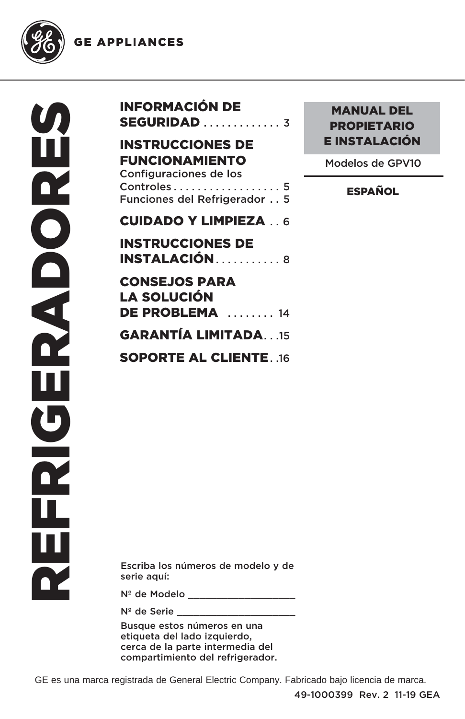**GE APPLIANCES** 



| <b>INFORMACIÓN DE</b><br><b>SEGURIDAD</b> 3                                                                                                                    |  |
|----------------------------------------------------------------------------------------------------------------------------------------------------------------|--|
| <b>INSTRUCCIONES DE</b><br><b>FUNCIONAMIENTO</b><br>Configuraciones de los<br>$Controles \ldots \ldots \ldots \ldots \ldots 5$<br>Funciones del Refrigerador 5 |  |
| <b>CUIDADO Y LIMPIEZA.6</b>                                                                                                                                    |  |
| <b>INSTRUCCIONES DE</b>                                                                                                                                        |  |
| <b>INSTALACIÓN</b> 8                                                                                                                                           |  |
| <b>CONSEJOS PARA</b><br>LA SOLUCIÓN<br>DE PROBLEMA  14                                                                                                         |  |
| <b>GARANTÍA LIMITADA15</b>                                                                                                                                     |  |
| <b>SOPORTE AL CLIENTE16</b>                                                                                                                                    |  |

### MANUAL DEL PROPIETARIO E INSTALACIÓN

Modelos de GPV10

**ESPAÑOL** 

Escriba los números de modelo y de serie aquí:

Nº de Modelo **\_\_\_\_\_\_\_\_\_** 

Nº de Serie \_\_\_\_\_\_\_\_\_\_\_\_\_\_\_\_\_\_\_\_\_

Busque estos números en una etiqueta del lado izquierdo, cerca de la parte intermedia del compartimiento del refrigerador.

GE es una marca registrada de General Electric Company. Fabricado bajo licencia de marca.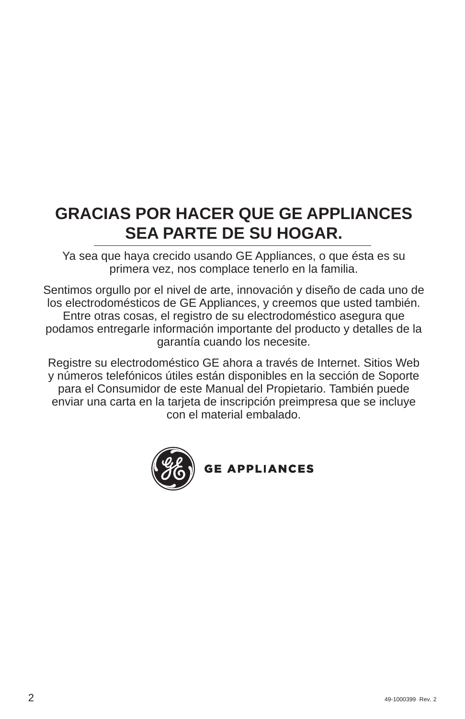# **GRACIAS POR HACER QUE GE APPLIANCES SEA PARTE DE SU HOGAR.**

Ya sea que haya crecido usando GE Appliances, o que ésta es su primera vez, nos complace tenerlo en la familia.

Sentimos orgullo por el nivel de arte, innovación y diseño de cada uno de los electrodomésticos de GE Appliances, y creemos que usted también. Entre otras cosas, el registro de su electrodoméstico asegura que podamos entregarle información importante del producto y detalles de la garantía cuando los necesite.

Registre su electrodoméstico GE ahora a través de Internet. Sitios Web y números telefónicos útiles están disponibles en la sección de Soporte para el Consumidor de este Manual del Propietario. También puede enviar una carta en la tarjeta de inscripción preimpresa que se incluye con el material embalado.



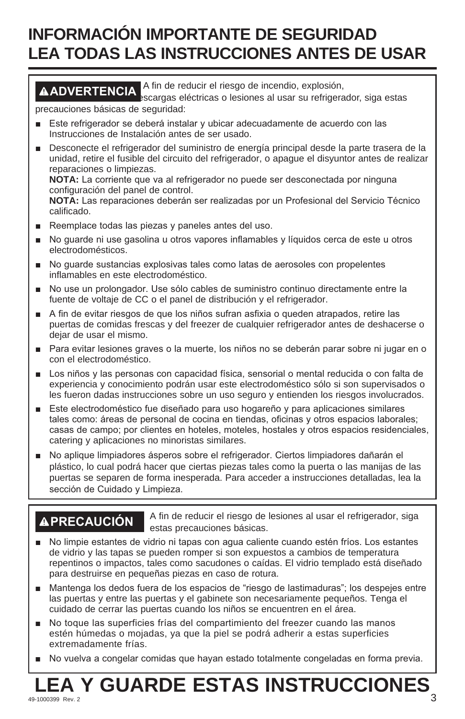# **INFORMACIÓN IMPORTANTE DE SEGURIDAD LEA TODAS LAS INSTRUCCIONES ANTES DE USAR**

### **ADVERTENCIA** A fin de reducir el riesgo de incendio, explosión,

escargas eléctricas o lesiones al usar su refrigerador, siga estas precauciones básicas de seguridad:

- E Este refrigerador se deberá instalar y ubicar adecuadamente de acuerdo con las Instrucciones de Instalación antes de ser usado.
- **Desconecte el refrigerador del suministro de energía principal desde la parte trasera de la** unidad, retire el fusible del circuito del refrigerador, o apague el disyuntor antes de realizar reparaciones o limpiezas.

**NOTA:** La corriente que va al refrigerador no puede ser desconectada por ninguna configuración del panel de control.

NOTA: Las reparaciones deberán ser realizadas por un Profesional del Servicio Técnico calificado.

- Reemplace todas las piezas y paneles antes del uso.
- No guarde ni use gasolina u otros vapores inflamables y líquidos cerca de este u otros electrodomésticos.
- No guarde sustancias explosivas tales como latas de aerosoles con propelentes inflamables en este electrodoméstico.
- No use un prolongador. Use sólo cables de suministro continuo directamente entre la fuente de voltaje de CC o el panel de distribución y el refrigerador.
- A fin de evitar riesgos de que los niños sufran asfixia o queden atrapados, retire las puertas de comidas frescas y del freezer de cualquier refrigerador antes de deshacerse o dejar de usar el mismo.
- Para evitar lesiones graves o la muerte, los niños no se deberán parar sobre ni jugar en o con el electrodoméstico.
- **Los niños y las personas con capacidad física, sensorial o mental reducida o con falta de** experiencia y conocimiento podrán usar este electrodoméstico sólo si son supervisados o les fueron dadas instrucciones sobre un uso seguro y entienden los riesgos involucrados.
- E Este electrodoméstico fue diseñado para uso hogareño y para aplicaciones similares tales como: áreas de personal de cocina en tiendas, oficinas y otros espacios laborales; casas de campo; por clientes en hoteles, moteles, hostales y otros espacios residenciales, catering y aplicaciones no minoristas similares.
- No aplique limpiadores ásperos sobre el refrigerador. Ciertos limpiadores dañarán el plástico, lo cual podrá hacer que ciertas piezas tales como la puerta o las manijas de las puertas se separen de forma inesperada. Para acceder a instrucciones detalladas, lea la sección de Cuidado y Limpieza.

**APRECAUCIÓN** A fin de reducir el riesgo de lesiones al usar el refrigerador, siga estas precauciones básicas.

- No limpie estantes de vidrio ni tapas con agua caliente cuando estén fríos. Los estantes de vidrio y las tapas se pueden romper si son expuestos a cambios de temperatura repentinos o impactos, tales como sacudones o caídas. El vidrio templado está diseñado para destruirse en pequeñas piezas en caso de rotura.
- A Mantenga los dedos fuera de los espacios de "riesgo de lastimaduras"; los despejes entre las puertas y entre las puertas y el gabinete son necesariamente pequeños. Tenga el cuidado de cerrar las puertas cuando los niños se encuentren en el área.
- No toque las superficies frías del compartimiento del freezer cuando las manos estén húmedas o mojadas, ya que la piel se podrá adherir a estas superficies extremadamente frías.
- No vuelva a congelar comidas que hayan estado totalmente congeladas en forma previa.

# **LEA Y GUARDE ESTAS INSTRUCCIONES**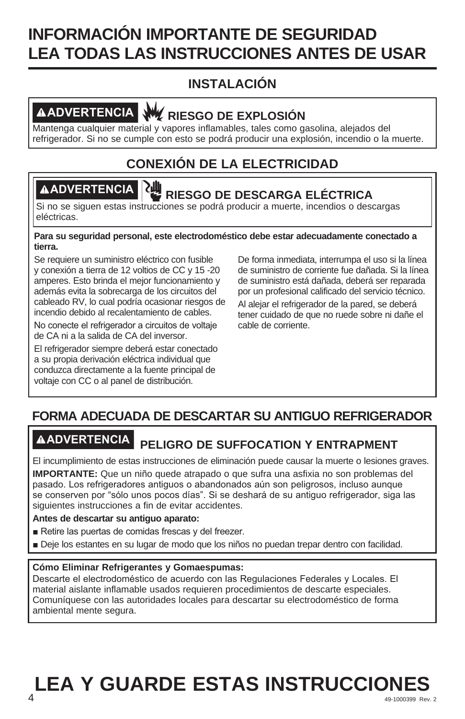# **INFORMACIÓN IMPORTANTE DE SEGURIDAD LEA TODAS LAS INSTRUCCIONES ANTES DE USAR**

## **INSTALACIÓN**

# **ADVERTENCIA RIESGO DE EXPLOSIÓN**

Mantenga cualquier material y vapores inflamables, tales como gasolina, alejados del refrigerador. Si no se cumple con esto se podrá producir una explosión, incendio o la muerte.

# **CONEXIÓN DE LA ELECTRICIDAD**

# **ADVERTENCIA RIESGO DE DESCARGA ELÉCTRICA**

Si no se siguen estas instrucciones se podrá producir a muerte, incendios o descargas eléctricas.

#### **Para su seguridad personal, este electrodoméstico debe estar adecuadamente conectado a tierra.**

Se requiere un suministro eléctrico con fusible y conexión a tierra de 12 voltios de CC y 15 -20 amperes. Esto brinda el mejor funcionamiento y además evita la sobrecarga de los circuitos del cableado RV, lo cual podría ocasionar riesgos de incendio debido al recalentamiento de cables.

No conecte el refrigerador a circuitos de voltaje de CA ni a la salida de CA del inversor.

El refrigerador siempre deberá estar conectado a su propia derivación eléctrica individual que conduzca directamente a la fuente principal de voltaje con CC o al panel de distribución.

De forma inmediata, interrumpa el uso si la línea de suministro de corriente fue dañada. Si la línea de suministro está dañada, deberá ser reparada por un profesional calificado del servicio técnico.

Al alejar el refrigerador de la pared, se deberá tener cuidado de que no ruede sobre ni dañe el cable de corriente.

## **FORMA ADECUADA DE DESCARTAR SU ANTIGUO REFRIGERADOR**

# **ADVERTENCIA PELIGRO DE SUFFOCATION Y ENTRAPMENT**

El incumplimiento de estas instrucciones de eliminación puede causar la muerte o lesiones graves.

**IMPORTANTE:** Que un niño quede atrapado o que sufra una asfixia no son problemas del pasado. Los refrigeradores antiguos o abandonados aún son peligrosos, incluso aunque se conserven por "sólo unos pocos días". Si se deshará de su antiguo refrigerador, siga las siguientes instrucciones a fin de evitar accidentes.

#### **Antes de descartar su antiguo aparato:**

- Retire las puertas de comidas frescas y del freezer.
- Deje los estantes en su lugar de modo que los niños no puedan trepar dentro con facilidad.

#### **Cómo Eliminar Refrigerantes y Gomaespumas:**

Descarte el electrodoméstico de acuerdo con las Regulaciones Federales y Locales. El material aislante inflamable usados requieren procedimientos de descarte especiales. Comuníquese con las autoridades locales para descartar su electrodoméstico de forma ambiental mente segura.

## **49-1000399 Rev. 2**  $\overline{49-1000399}$  Rev. 2 **LEA Y GUARDE ESTAS INSTRUCCIONES**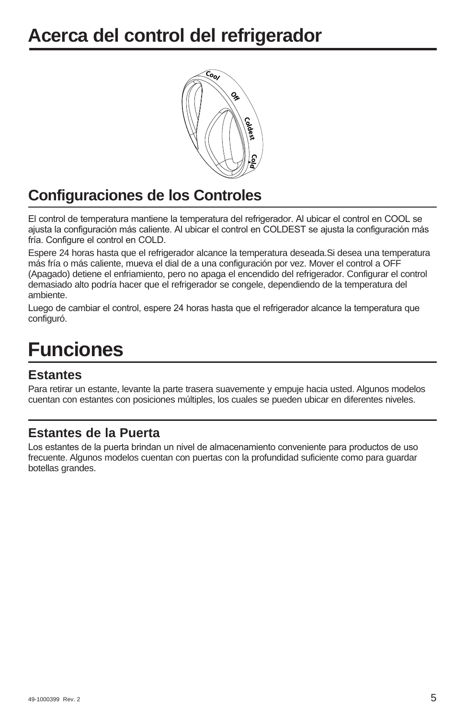# **Acerca del control del refrigerador**



# **Configuraciones de los Controles**

El control de temperatura mantiene la temperatura del refrigerador. Al ubicar el control en COOL se ajusta la configuración más caliente. Al ubicar el control en COLDEST se ajusta la configuración más fría. Configure el control en COLD.

Espere 24 horas hasta que el refrigerador alcance la temperatura deseada.Si desea una temperatura más fría o más caliente, mueva el dial de a una configuración por vez. Mover el control a OFF (Apagado) detiene el enfriamiento, pero no apaga el encendido del refrigerador. Configurar el control demasiado alto podría hacer que el refrigerador se congele, dependiendo de la temperatura del ambiente.

Luego de cambiar el control, espere 24 horas hasta que el refrigerador alcance la temperatura que configuró.

# **Funciones**

#### **Estantes**

Para retirar un estante, levante la parte trasera suavemente y empuje hacia usted. Algunos modelos cuentan con estantes con posiciones múltiples, los cuales se pueden ubicar en diferentes niveles.

#### **Estantes de la Puerta**

Los estantes de la puerta brindan un nivel de almacenamiento conveniente para productos de uso frecuente. Algunos modelos cuentan con puertas con la profundidad suficiente como para guardar botellas grandes.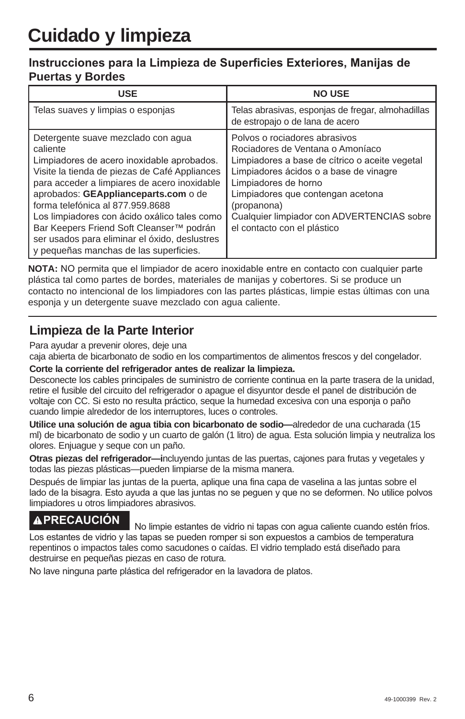#### Instrucciones para la Limpieza de Superficies Exteriores, Manijas de **Puertas y Bordes**

| <b>USE</b>                                                                                                                                                                                                                                                                                                                                                                                                                                                       | <b>NO USE</b>                                                                                                                                                                                                                                                                                                          |
|------------------------------------------------------------------------------------------------------------------------------------------------------------------------------------------------------------------------------------------------------------------------------------------------------------------------------------------------------------------------------------------------------------------------------------------------------------------|------------------------------------------------------------------------------------------------------------------------------------------------------------------------------------------------------------------------------------------------------------------------------------------------------------------------|
| Telas suaves y limpias o esponjas                                                                                                                                                                                                                                                                                                                                                                                                                                | Telas abrasivas, esponjas de fregar, almohadillas<br>de estropajo o de lana de acero                                                                                                                                                                                                                                   |
| Detergente suave mezclado con agua<br>caliente<br>Limpiadores de acero inoxidable aprobados.<br>Visite la tienda de piezas de Café Appliances<br>para acceder a limpiares de acero inoxidable<br>aprobados: GEApplianceparts.com o de<br>forma telefónica al 877.959.8688<br>Los limpiadores con ácido oxálico tales como<br>Bar Keepers Friend Soft Cleanser™ podrán<br>ser usados para eliminar el óxido, deslustres<br>y pequeñas manchas de las superficies. | Polvos o rociadores abrasivos<br>Rociadores de Ventana o Amoníaco<br>Limpiadores a base de cítrico o aceite vegetal<br>Limpiadores ácidos o a base de vinagre<br>Limpiadores de horno<br>Limpiadores que contengan acetona<br>(propanona)<br>Cualquier limpiador con ADVERTENCIAS sobre<br>el contacto con el plástico |

**NOTA:** NO permita que el limpiador de acero inoxidable entre en contacto con cualquier parte plástica tal como partes de bordes, materiales de manijas y cobertores. Si se produce un contacto no intencional de los limpiadores con las partes plásticas, limpie estas últimas con una esponja y un detergente suave mezclado con agua caliente.

### **Limpieza de la Parte Interior**

Para ayudar a prevenir olores, deje una

caja abierta de bicarbonato de sodio en los compartimentos de alimentos frescos y del congelador.

#### **Corte la corriente del refrigerador antes de realizar la limpieza.**

Desconecte los cables principales de suministro de corriente continua en la parte trasera de la unidad, retire el fusible del circuito del refrigerador o apague el disyuntor desde el panel de distribución de voltaje con CC. Si esto no resulta práctico, seque la humedad excesiva con una esponja o paño cuando limpie alrededor de los interruptores, luces o controles.

**Utilice una solución de agua tibia con bicarbonato de sodio—**alrededor de una cucharada (15 ml) de bicarbonato de sodio y un cuarto de galón (1 litro) de agua. Esta solución limpia y neutraliza los olores. Enjuague y seque con un paño.

**Otras piezas del refrigerador—i**ncluyendo juntas de las puertas, cajones para frutas y vegetales y todas las piezas plásticas—pueden limpiarse de la misma manera.

Después de limpiar las juntas de la puerta, aplique una fina capa de vaselina a las juntas sobre el lado de la bisagra. Esto ayuda a que las juntas no se peguen y que no se deformen. No utilice polvos limpiadores u otros limpiadores abrasivos.

**A PRECAUCIÓN**<br>No limpie estantes de vidrio ni tapas con aqua caliente cuando estén fríos. Los estantes de vidrio y las tapas se pueden romper si son expuestos a cambios de temperatura repentinos o impactos tales como sacudones o caídas. El vidrio templado está diseñado para destruirse en pequeñas piezas en caso de rotura.

No lave ninguna parte plástica del refrigerador en la lavadora de platos.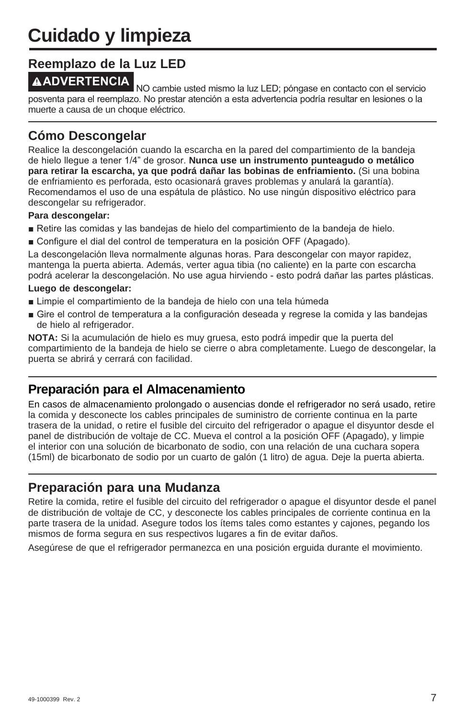# **Cuidado y limpieza**

#### **Reemplazo de la Luz LED**

**AADVERTENCIA**<br>NO cambie usted mismo la luz LED; póngase en contacto con el servicio posventa para el reemplazo. No prestar atención a esta advertencia podría resultar en lesiones o la muerte a causa de un choque eléctrico.

### **Cómo Descongelar**

Realice la descongelación cuando la escarcha en la pared del compartimiento de la bandeja de hielo llegue a tener 1/4" de grosor. **Nunca use un instrumento punteagudo o metálico para retirar la escarcha, ya que podrá dañar las bobinas de enfriamiento.** (Si una bobina de enfriamiento es perforada, esto ocasionará graves problemas y anulará la garantía). Recomendamos el uso de una espátula de plástico. No use ningún dispositivo eléctrico para descongelar su refrigerador.

#### **Para descongelar:**

- Retire las comidas y las bandejas de hielo del compartimiento de la bandeja de hielo.
- Gonfigure el dial del control de temperatura en la posición OFF (Apagado).

La descongelación lleva normalmente algunas horas. Para descongelar con mayor rapidez, mantenga la puerta abierta. Además, verter agua tibia (no caliente) en la parte con escarcha podrá acelerar la descongelación. No use agua hirviendo - esto podrá dañar las partes plásticas.

#### **Luego de descongelar:**

- Limpie el compartimiento de la bandeja de hielo con una tela húmeda
- Gire el control de temperatura a la configuración deseada y regrese la comida y las bandejas de hielo al refrigerador.

**NOTA:** Si la acumulación de hielo es muy gruesa, esto podrá impedir que la puerta del compartimiento de la bandeja de hielo se cierre o abra completamente. Luego de descongelar, la puerta se abrirá y cerrará con facilidad.

### **Preparación para el Almacenamiento**

En casos de almacenamiento prolongado o ausencias donde el refrigerador no será usado, retire la comida y desconecte los cables principales de suministro de corriente continua en la parte trasera de la unidad, o retire el fusible del circuito del refrigerador o apague el disyuntor desde el panel de distribución de voltaje de CC. Mueva el control a la posición OFF (Apagado), y limpie el interior con una solución de bicarbonato de sodio, con una relación de una cuchara sopera (15ml) de bicarbonato de sodio por un cuarto de galón (1 litro) de agua. Deje la puerta abierta.

#### **Preparación para una Mudanza**

Retire la comida, retire el fusible del circuito del refrigerador o apague el disyuntor desde el panel de distribución de voltaje de CC, y desconecte los cables principales de corriente continua en la parte trasera de la unidad. Asegure todos los ítems tales como estantes y cajones, pegando los mismos de forma segura en sus respectivos lugares a fin de evitar daños.

Asegúrese de que el refrigerador permanezca en una posición erguida durante el movimiento.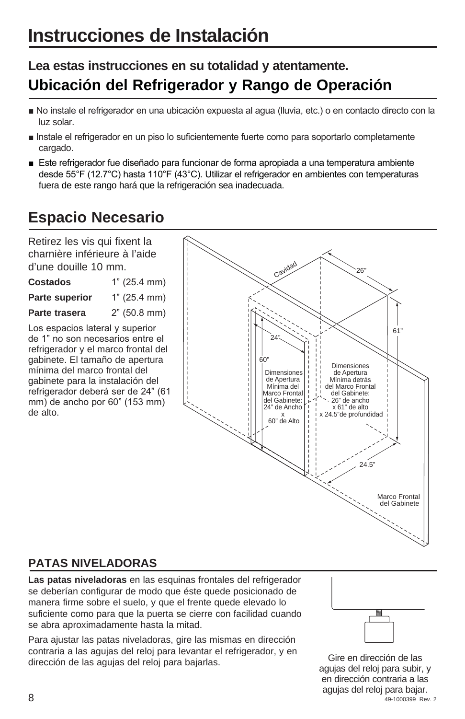# **Instrucciones de Instalación**

# **Lea estas instrucciones en su totalidad y atentamente. Ubicación del Refrigerador y Rango de Operación**

- No instale el refrigerador en una ubicación expuesta al agua (lluvia, etc.) o en contacto directo con la luz solar.
- Instale el refrigerador en un piso lo suficientemente fuerte como para soportarlo completamente cargado.
- Este refrigerador fue diseñado para funcionar de forma apropiada a una temperatura ambiente desde 55°F (12.7°C) hasta 110°F (43°C). Utilizar el refrigerador en ambientes con temperaturas fuera de este rango hará que la refrigeración sea inadecuada.

# **Espacio Necesario**

Retirez les vis qui fixent la charnière inférieure à l'aide d'une douille 10 mm.

**Costados** 1" (25.4 mm) **Parte superior** 1" (25.4 mm)

**Parte trasera** 2" (50.8 mm)

Los espacios lateral y superior de 1" no son necesarios entre el refrigerador y el marco frontal del gabinete. El tamaño de apertura mínima del marco frontal del gabinete para la instalación del refrigerador deberá ser de 24" (61 mm) de ancho por 60" (153 mm) de alto.



## **PATAS NIVELADORAS**

**Las patas niveladoras** en las esquinas frontales del refrigerador se deberían configurar de modo que éste quede posicionado de manera firme sobre el suelo, y que el frente quede elevado lo suficiente como para que la puerta se cierre con facilidad cuando se abra aproximadamente hasta la mitad.

Para ajustar las patas niveladoras, gire las mismas en dirección contraria a las agujas del reloj para levantar el refrigerador, y en dirección de las agujas del reloj para bajarlas.



 $8^{49-1000399}$  Rev. 2 Gire en dirección de las agujas del reloj para subir, y en dirección contraria a las agujas del reloj para bajar.<br>49-1000399 Rev. 2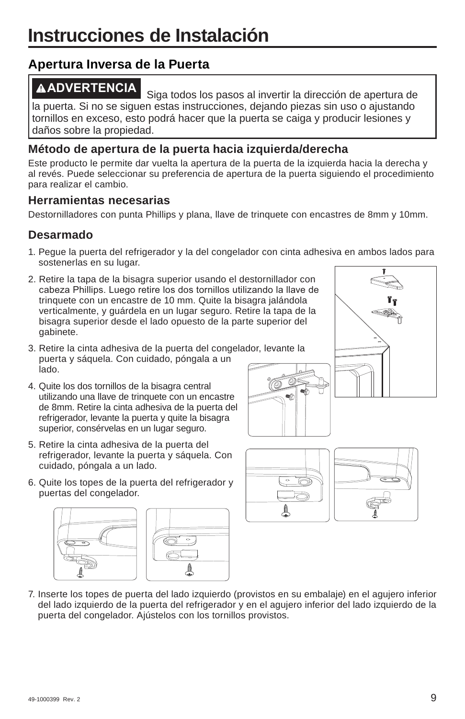## **Apertura Inversa de la Puerta**

**ADVERTENCIA** Siga todos los pasos al invertir la dirección de apertura de la puerta. Si no se siguen estas instrucciones, dejando piezas sin uso o ajustando tornillos en exceso, esto podrá hacer que la puerta se caiga y producir lesiones y daños sobre la propiedad.

#### **Método de apertura de la puerta hacia izquierda/derecha**

Este producto le permite dar vuelta la apertura de la puerta de la izquierda hacia la derecha y al revés. Puede seleccionar su preferencia de apertura de la puerta siguiendo el procedimiento para realizar el cambio.

#### **Herramientas necesarias**

Destornilladores con punta Phillips y plana, llave de trinquete con encastres de 8mm y 10mm.

### **Desarmado**

1. Pegue la puerta del refrigerador y la del congelador con cinta adhesiva en ambos lados para sostenerlas en su lugar.

16

2. Retire la tapa de la bisagra superior usando el destornillador con cabeza Phillips. Luego retire los dos tornillos utilizando la llave de trinquete con un encastre de 10 mm. Quite la bisagra jalándola verticalmente, y guárdela en un lugar seguro. Retire la tapa de la bisagra superior desde el lado opuesto de la parte superior del gabinete.



- 3. Retire la cinta adhesiva de la puerta del congelador, levante la puerta y sáquela. Con cuidado, póngala a un lado.
- 4. Quite los dos tornillos de la bisagra central utilizando una llave de trinquete con un encastre de 8mm. Retire la cinta adhesiva de la puerta del refrigerador, levante la puerta y quite la bisagra superior, consérvelas en un lugar seguro.
- 5. Retire la cinta adhesiva de la puerta del refrigerador, levante la puerta y sáquela. Con cuidado, póngala a un lado.
- 6. Quite los topes de la puerta del refrigerador y puertas del congelador.





7. Inserte los topes de puerta del lado izquierdo (provistos en su embalaje) en el agujero inferior del lado izquierdo de la puerta del refrigerador y en el agujero inferior del lado izquierdo de la puerta del congelador. Ajústelos con los tornillos provistos.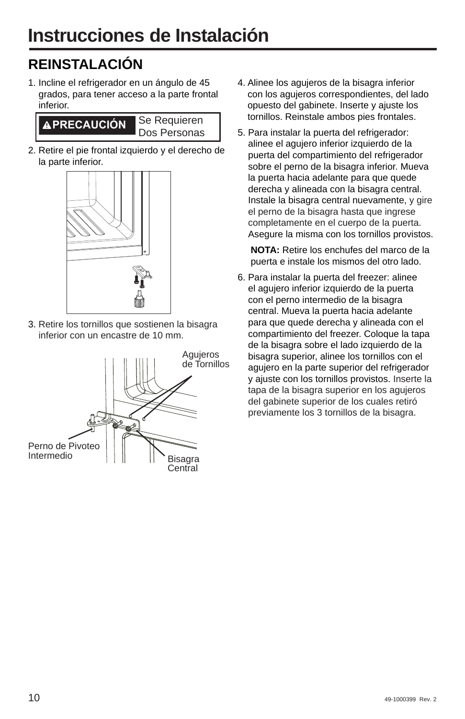# **REINSTALACIÓN**

1. Incline el refrigerador en un ángulo de 45 grados, para tener acceso a la parte frontal inferior.



2. Retire el pie frontal izquierdo y el derecho de la parte inferior.



3. Retire los tornillos que sostienen la bisagra inferior con un encastre de 10 mm.



- 4. Alinee los agujeros de la bisagra inferior con los agujeros correspondientes, del lado opuesto del gabinete. Inserte y ajuste los tornillos. Reinstale ambos pies frontales.
- 5. Para instalar la puerta del refrigerador: alinee el aguiero inferior izquierdo de la puerta del compartimiento del refrigerador sobre el perno de la bisagra inferior. Mueva la puerta hacia adelante para que quede derecha y alineada con la bisagra central. Instale la bisagra central nuevamente, y gire el perno de la bisagra hasta que ingrese completamente en el cuerpo de la puerta. Asegure la misma con los tornillos provistos.

 **NOTA:** Retire los enchufes del marco de la puerta e instale los mismos del otro lado.

6. Para instalar la puerta del freezer: alinee el agujero inferior izquierdo de la puerta con el perno intermedio de la bisagra central. Mueva la puerta hacia adelante para que quede derecha y alineada con el compartimiento del freezer. Coloque la tapa de la bisagra sobre el lado izquierdo de la bisagra superior, alinee los tornillos con el agujero en la parte superior del refrigerador y ajuste con los tornillos provistos. Inserte la tapa de la bisagra superior en los agujeros del gabinete superior de los cuales retiró previamente los 3 tornillos de la bisagra.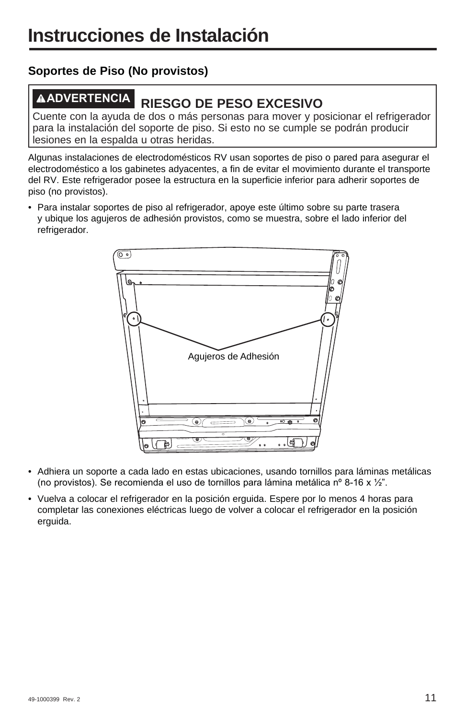### **Soportes de Piso (No provistos)**

# **ADVERTENCIA RIESGO DE PESO EXCESIVO**

Cuente con la ayuda de dos o más personas para mover y posicionar el refrigerador para la instalación del soporte de piso. Si esto no se cumple se podrán producir lesiones en la espalda u otras heridas.

Algunas instalaciones de electrodomésticos RV usan soportes de piso o pared para asegurar el electrodoméstico a los gabinetes adyacentes, a fin de evitar el movimiento durante el transporte del RV. Este refrigerador posee la estructura en la superficie inferior para adherir soportes de piso (no provistos).

• Para instalar soportes de piso al refrigerador, apoye este último sobre su parte trasera y ubique los agujeros de adhesión provistos, como se muestra, sobre el lado inferior del refrigerador.



- Adhiera un soporte a cada lado en estas ubicaciones, usando tornillos para láminas metálicas (no provistos). Se recomienda el uso de tornillos para lámina metálica nº 8-16 x  $\frac{1}{2}$ ".
- Vuelva a colocar el refrigerador en la posición erguida. Espere por lo menos 4 horas para completar las conexiones eléctricas luego de volver a colocar el refrigerador en la posición erguida.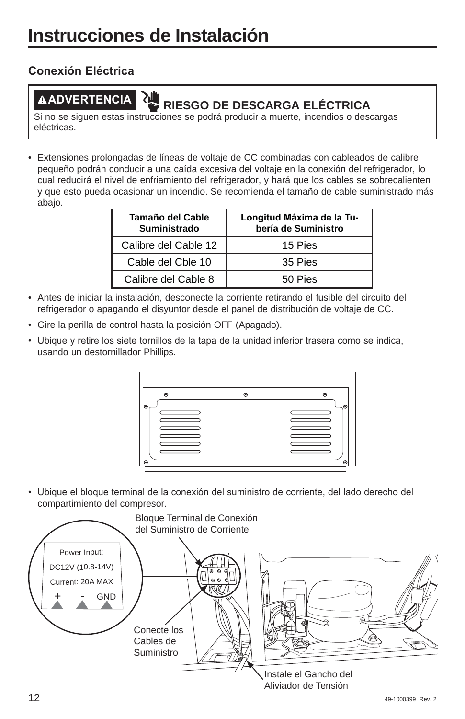### **Conexión Eléctrica**

# **ADVERTENCIA RIESGO DE DESCARGA ELÉCTRICA**

Si no se siguen estas instrucciones se podrá producir a muerte, incendios o descargas eléctricas.

• Extensiones prolongadas de líneas de voltaje de CC combinadas con cableados de calibre pequeño podrán conducir a una caída excesiva del voltaje en la conexión del refrigerador, lo cual reducirá el nivel de enfriamiento del refrigerador, y hará que los cables se sobrecalienten y que esto pueda ocasionar un incendio. Se recomienda el tamaño de cable suministrado más abajo.

| Tamaño del Cable<br>Suministrado | Longitud Máxima de la Tu-<br>bería de Suministro |
|----------------------------------|--------------------------------------------------|
| Calibre del Cable 12             | 15 Pies                                          |
| Cable del Cble 10                | 35 Pies                                          |
| Calibre del Cable 8              | 50 Pies                                          |

- Antes de iniciar la instalación, desconecte la corriente retirando el fusible del circuito del refrigerador o apagando el disyuntor desde el panel de distribución de voltaje de CC.
- Gire la perilla de control hasta la posición OFF (Apagado).
- Ubique y retire los siete tornillos de la tapa de la unidad inferior trasera como se indica, usando un destornillador Phillips.



• Ubique el bloque terminal de la conexión del suministro de corriente, del lado derecho del compartimiento del compresor.

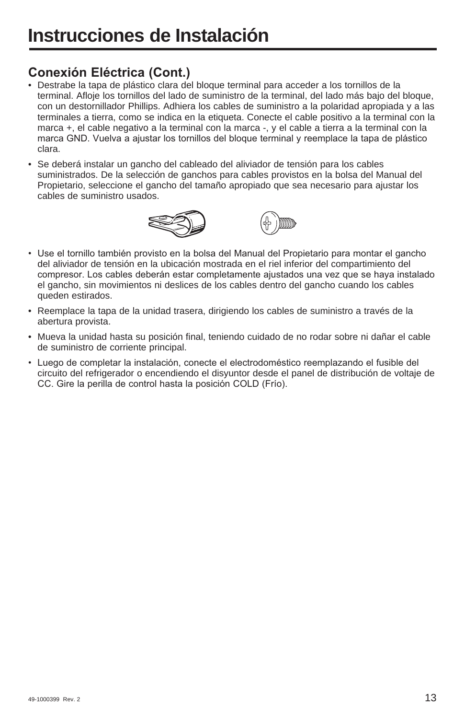## **Conexión Eléctrica (Cont.)**

- Destrabe la tapa de plástico clara del bloque terminal para acceder a los tornillos de la terminal. Afloje los tornillos del lado de suministro de la terminal, del lado más bajo del bloque, con un destornillador Phillips. Adhiera los cables de suministro a la polaridad apropiada y a las terminales a tierra, como se indica en la etiqueta. Conecte el cable positivo a la terminal con la marca +, el cable negativo a la terminal con la marca -, y el cable a tierra a la terminal con la marca GND. Vuelva a ajustar los tornillos del bloque terminal y reemplace la tapa de plástico clara.
- Se deberá instalar un gancho del cableado del aliviador de tensión para los cables suministrados. De la selección de ganchos para cables provistos en la bolsa del Manual del Propietario, seleccione el gancho del tamaño apropiado que sea necesario para ajustar los cables de suministro usados.





- Use el tornillo también provisto en la bolsa del Manual del Propietario para montar el gancho del aliviador de tensión en la ubicación mostrada en el riel inferior del compartimiento del compresor. Los cables deberán estar completamente ajustados una vez que se haya instalado el gancho, sin movimientos ni deslices de los cables dentro del gancho cuando los cables queden estirados.
- Reemplace la tapa de la unidad trasera, dirigiendo los cables de suministro a través de la abertura provista.
- Mueva la unidad hasta su posición final, teniendo cuidado de no rodar sobre ni dañar el cable de suministro de corriente principal.
- Luego de completar la instalación, conecte el electrodoméstico reemplazando el fusible del circuito del refrigerador o encendiendo el disyuntor desde el panel de distribución de voltaje de CC. Gire la perilla de control hasta la posición COLD (Frío).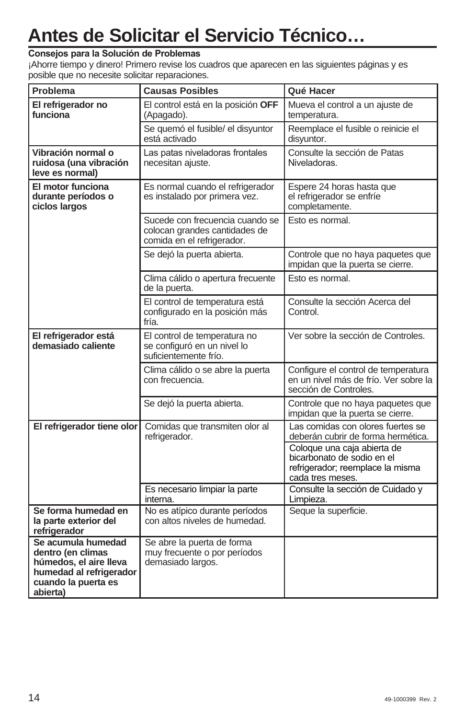# **Antes de Solicitar el Servicio Técnico…**

#### Consejos para la Solución de Problemas

¡Ahorre tiempo y dinero! Primero revise los cuadros que aparecen en las siguientes páginas y es posible que no necesite solicitar reparaciones.

| Problema                                                                                                                        | <b>Causas Posibles</b>                                                                         | Qué Hacer                                                                                                         |
|---------------------------------------------------------------------------------------------------------------------------------|------------------------------------------------------------------------------------------------|-------------------------------------------------------------------------------------------------------------------|
| El refrigerador no<br>funciona                                                                                                  | El control está en la posición OFF<br>(Apagado).                                               | Mueva el control a un ajuste de<br>temperatura.                                                                   |
|                                                                                                                                 | Se quemó el fusible/ el disyuntor<br>está activado                                             | Reemplace el fusible o reinicie el<br>disyuntor.                                                                  |
| Vibración normal o<br>ruidosa (una vibración<br>leve es normal)                                                                 | Las patas niveladoras frontales<br>necesitan ajuste.                                           | Consulte la sección de Patas<br>Niveladoras.                                                                      |
| El motor funciona<br>durante períodos o<br>ciclos largos                                                                        | Es normal cuando el refrigerador<br>es instalado por primera vez.                              | Espere 24 horas hasta que<br>el refrigerador se enfríe<br>completamente.                                          |
|                                                                                                                                 | Sucede con frecuencia cuando se<br>colocan grandes cantidades de<br>comida en el refrigerador. | Esto es normal.                                                                                                   |
|                                                                                                                                 | Se dejó la puerta abierta.                                                                     | Controle que no haya paquetes que<br>impidan que la puerta se cierre.                                             |
|                                                                                                                                 | Clima cálido o apertura frecuente<br>de la puerta.                                             | Esto es normal.                                                                                                   |
|                                                                                                                                 | El control de temperatura está<br>configurado en la posición más<br>fría.                      | Consulte la sección Acerca del<br>Control.                                                                        |
| El refrigerador está<br>demasiado caliente                                                                                      | El control de temperatura no<br>se configuró en un nivel lo<br>suficientemente frío.           | Ver sobre la sección de Controles.                                                                                |
|                                                                                                                                 | Clima cálido o se abre la puerta<br>con frecuencia.                                            | Configure el control de temperatura<br>en un nivel más de frío. Ver sobre la<br>sección de Controles.             |
|                                                                                                                                 | Se dejó la puerta abierta.                                                                     | Controle que no haya paquetes que<br>impidan que la puerta se cierre.                                             |
| El refrigerador tiene olor                                                                                                      | Comidas que transmiten olor al<br>refrigerador.                                                | Las comidas con olores fuertes se<br>deberán cubrir de forma hermética.                                           |
|                                                                                                                                 |                                                                                                | Coloque una caja abierta de<br>bicarbonato de sodio en el<br>refrigerador; reemplace la misma<br>cada tres meses. |
|                                                                                                                                 | Es necesario limpiar la parte<br>interna.                                                      | Consulte la sección de Cuidado y<br>Limpieza.                                                                     |
| Se forma humedad en<br>la parte exterior del<br>refrigerador                                                                    | No es atípico durante períodos<br>con altos niveles de humedad.                                | Seque la superficie.                                                                                              |
| Se acumula humedad<br>dentro (en climas<br>húmedos, el aire lleva<br>humedad al refrigerador<br>cuando la puerta es<br>abierta) | Se abre la puerta de forma<br>muy frecuente o por períodos<br>demasiado largos.                |                                                                                                                   |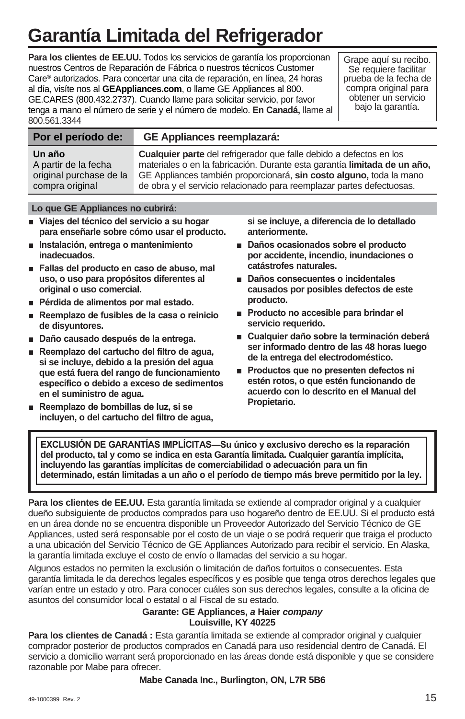# **Garantía Limitada del Refrigerador**

**Para los clientes de EE.UU.** Todos los servicios de garantía los proporcionan nuestros Centros de Reparación de Fábrica o nuestros técnicos Customer Care® autorizados. Para concertar una cita de reparación, en línea, 24 horas al día, visíte nos al **GEAppliances.com**, o llame GE Appliances al 800. GE.CARES (800.432.2737). Cuando llame para solicitar servicio, por favor tenga a mano el número de serie y el número de modelo. **En Canadá,** llame al 800.561.3344

Grape aquí su recibo. Se requiere facilitar prueba de la fecha de compra original para obtener un servicio bajo la garantía.

| Por el período de:      | <b>GE Appliances reemplazará:</b>                                         |
|-------------------------|---------------------------------------------------------------------------|
| Un año                  | Cualquier parte del refrigerador que falle debido a defectos en los       |
| A partir de la fecha    | materiales o en la fabricación. Durante esta garantía limitada de un año, |
| original purchase de la | GE Appliances también proporcionará, sin costo alguno, toda la mano       |
| compra original         | de obra y el servicio relacionado para reemplazar partes defectuosas.     |

#### **Lo que GE Appliances no cubrirá:**

- Viajes del técnico del servicio a su hogar **para enseñarle sobre cómo usar el producto.**
- **n** Instalación, entrega o mantenimiento **inadecuados.**
- **Fallas del producto en caso de abuso, maloridad uso, o uso para propósitos diferentes al original o uso comercial.**
- **Pérdida de alimentos por mal estado.**
- **Reemplazo de fusibles de la casa o reinicio de disyuntores.**
- **P** Daño causado después de la entrega.
- **Reemplazo del cartucho del filtro de aqua, si se incluye, debido a la presión del agua que está fuera del rango de funcionamiento**  específico o debido a exceso de sedimentos **en el suministro de agua.**
- **Reemplazo de bombillas de luz, si se incluyen, o del cartucho del filtro de agua,**

**si se incluye, a diferencia de lo detallado anteriormente.**

- **P** Daños ocasionados sobre el producto **por accidente, incendio, inundaciones o catástrofes naturales.**
- Daños consecuentes o incidentales **causados por posibles defectos de este producto.**
- **Producto no accesible para brindar el servicio requerido.**
- **E** Cualquier daño sobre la terminación deberá **ser informado dentro de las 48 horas luego de la entrega del electrodoméstico.**
- **Productos que no presenten defectos ni estén rotos, o que estén funcionando de acuerdo con lo descrito en el Manual del Propietario.**

**EXCLUSIÓN DE GARANTÍAS IMPLÍCITAS-Su único y exclusivo derecho es la reparación del producto, tal y como se indica en esta Garantía limitada. Cualquier garantía implícita, incluyendo las garantías implícitas de comerciabilidad o adecuación para un fin determinado, están limitadas a un año o el período de tiempo más breve permitido por la ley.**

**Para los clientes de EE.UU.** Esta garantía limitada se extiende al comprador original y a cualquier dueño subsiguiente de productos comprados para uso hogareño dentro de EE.UU. Si el producto está en un área donde no se encuentra disponible un Proveedor Autorizado del Servicio Técnico de GE Appliances, usted será responsable por el costo de un viaje o se podrá requerir que traiga el producto a una ubicación del Servicio Técnico de GE Appliances Autorizado para recibir el servicio. En Alaska, la garantía limitada excluye el costo de envío o llamadas del servicio a su hogar.

Algunos estados no permiten la exclusión o limitación de daños fortuitos o consecuentes. Esta garantía limitada le da derechos legales específicos y es posible que tenga otros derechos legales que varían entre un estado y otro. Para conocer cuáles son sus derechos legales, consulte a la oficina de asuntos del consumidor local o estatal o al Fiscal de su estado.

#### **Garante: GE Appliances,** *a* **Haier** *company* **Louisville, KY 40225**

**Para los clientes de Canadá :** Esta garantía limitada se extiende al comprador original y cualquier comprador posterior de productos comprados en Canadá para uso residencial dentro de Canadá. El servicio a domicilio warrant será proporcionado en las áreas donde está disponible y que se considere razonable por Mabe para ofrecer.

**Mabe Canada Inc., Burlington, ON, L7R 5B6**